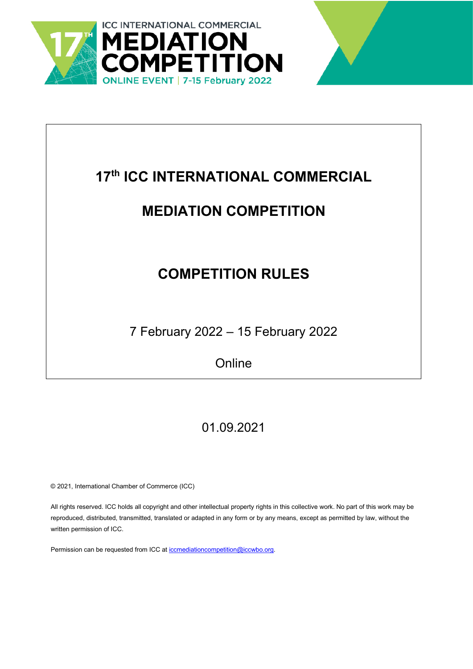



# **17th ICC INTERNATIONAL COMMERCIAL**

# **MEDIATION COMPETITION**

# **COMPETITION RULES**

7 February 2022 – 15 February 2022

**Online** 

# 01.09.2021

© 2021, International Chamber of Commerce (ICC)

All rights reserved. ICC holds all copyright and other intellectual property rights in this collective work. No part of this work may be reproduced, distributed, transmitted, translated or adapted in any form or by any means, except as permitted by law, without the written permission of ICC.

Permission can be requested from ICC at [iccmediationcompetition@iccwbo.org.](mailto:iccmediationcompetition@iccwbo.org)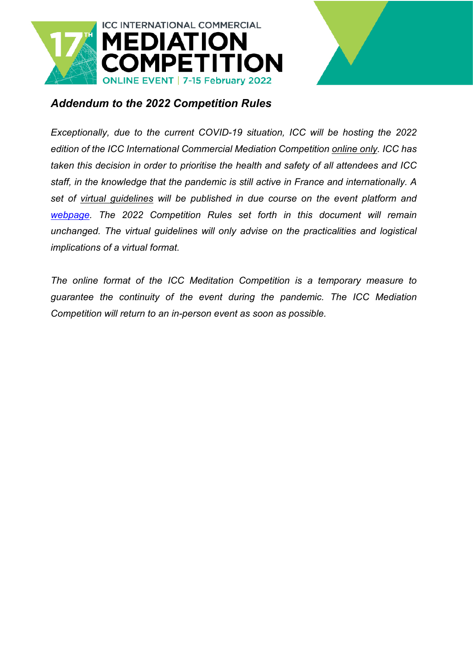



### *Addendum to the 2022 Competition Rules*

*Exceptionally, due to the current COVID-19 situation, ICC will be hosting the 2022 edition of the ICC International Commercial Mediation Competition online only. ICC has taken this decision in order to prioritise the health and safety of all attendees and ICC staff, in the knowledge that the pandemic is still active in France and internationally. A set of virtual guidelines will be published in due course on the event platform and [webpage.](https://2go.iccwbo.org/icc-international-commercial-mediation-competition.html) The 2022 Competition Rules set forth in this document will remain unchanged. The virtual guidelines will only advise on the practicalities and logistical implications of a virtual format.*

*The online format of the ICC Meditation Competition is a temporary measure to guarantee the continuity of the event during the pandemic. The ICC Mediation Competition will return to an in-person event as soon as possible.*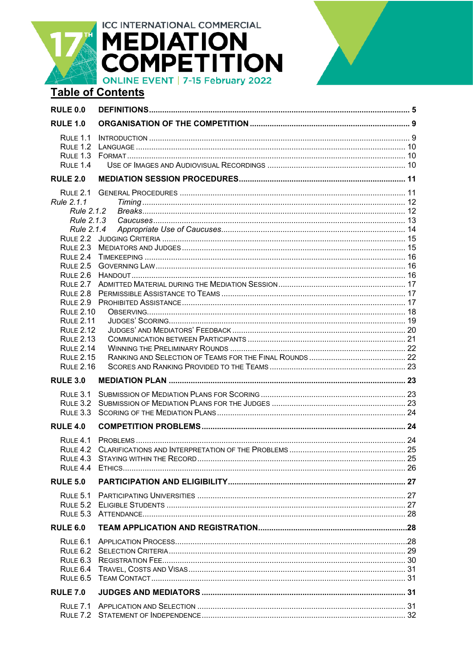**ICC INTERNATIONAL COMMERCIAL MEDIATION<br>COMPETITION ONLINE EVENT | 7-15 February 2022 Table of Contents RULE 0.0 RULE 1.0** 

| <b>RULE 1.3</b>  |                                              |  |
|------------------|----------------------------------------------|--|
| $R$ ULF 1.4      |                                              |  |
| <b>RULE 2.0</b>  |                                              |  |
| <b>RULE 2.1</b>  |                                              |  |
| Rule 2.1.1       |                                              |  |
| Rule 2.1.2       |                                              |  |
| Rule 2.1.3       |                                              |  |
| Rule 2.1.4       |                                              |  |
| <b>RULE 2.2</b>  |                                              |  |
| <b>RULE 2.3</b>  |                                              |  |
| <b>RULE 2.4</b>  |                                              |  |
| <b>RULE 2.5</b>  |                                              |  |
| <b>RULE 2.6</b>  |                                              |  |
| <b>RULE 2.7</b>  |                                              |  |
| <b>RULE 2.8</b>  |                                              |  |
| <b>RULE 2.9</b>  |                                              |  |
| <b>RULE 2.10</b> |                                              |  |
| <b>RULE 2.11</b> |                                              |  |
| <b>RULE 2.12</b> |                                              |  |
| <b>RULE 2.13</b> |                                              |  |
| <b>RULE 2.14</b> |                                              |  |
| <b>RULE 2.15</b> |                                              |  |
| <b>RULE 2.16</b> |                                              |  |
| <b>RULE 3.0</b>  |                                              |  |
| <b>RULE 3.1</b>  |                                              |  |
| <b>RULE 3.2</b>  |                                              |  |
| <b>RULE 3.3</b>  |                                              |  |
| <b>RULE 4.0</b>  |                                              |  |
| <b>RULE 4.1</b>  |                                              |  |
| <b>RULE 4.2</b>  |                                              |  |
| <b>RULE 4.3</b>  |                                              |  |
| <b>RULE 4.4</b>  |                                              |  |
| <b>RULE 5.0</b>  |                                              |  |
| <b>RULE 5.1</b>  |                                              |  |
|                  | $R \cup E 52$ FLIGIBLE STUDENTS<br>$\sim$ 27 |  |
|                  |                                              |  |
| <b>RULE 6.0</b>  |                                              |  |
| RULE $6.1$       |                                              |  |
| <b>RULE 6.2</b>  |                                              |  |
| RULE 6.3         |                                              |  |
| RULE 6.4         |                                              |  |
| <b>RULE 6.5</b>  |                                              |  |
| <b>RULE 7.0</b>  |                                              |  |
|                  |                                              |  |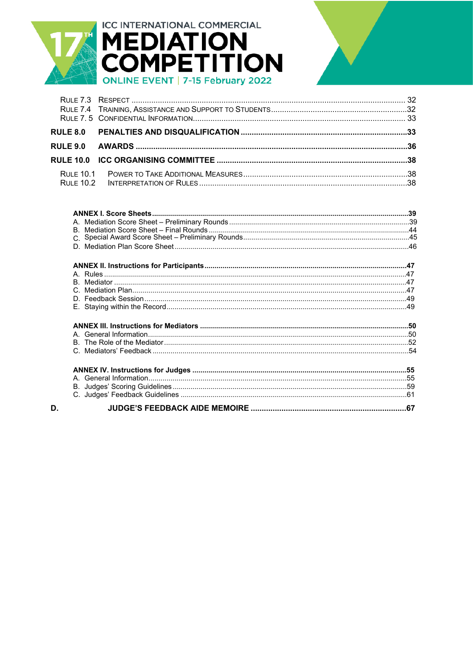

D.



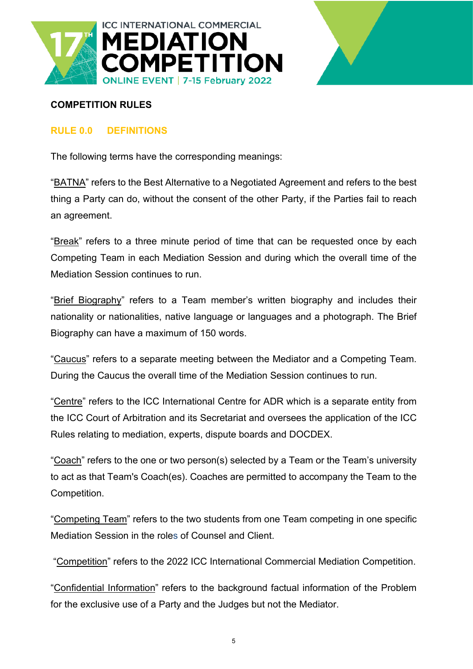



#### **COMPETITION RULES**

#### <span id="page-4-0"></span>**RULE 0.0 DEFINITIONS**

The following terms have the corresponding meanings:

"BATNA" refers to the Best Alternative to a Negotiated Agreement and refers to the best thing a Party can do, without the consent of the other Party, if the Parties fail to reach an agreement.

"Break" refers to a three minute period of time that can be requested once by each Competing Team in each Mediation Session and during which the overall time of the Mediation Session continues to run.

"Brief Biography" refers to a Team member's written biography and includes their nationality or nationalities, native language or languages and a photograph. The Brief Biography can have a maximum of 150 words.

"Caucus" refers to a separate meeting between the Mediator and a Competing Team. During the Caucus the overall time of the Mediation Session continues to run.

"Centre" refers to the ICC International Centre for ADR which is a separate entity from the ICC Court of Arbitration and its Secretariat and oversees the application of the ICC Rules relating to mediation, experts, dispute boards and DOCDEX.

"Coach" refers to the one or two person(s) selected by a Team or the Team's university to act as that Team's Coach(es). Coaches are permitted to accompany the Team to the Competition.

"Competing Team" refers to the two students from one Team competing in one specific Mediation Session in the roles of Counsel and Client.

"Competition" refers to the 2022 ICC International Commercial Mediation Competition.

"Confidential Information" refers to the background factual information of the Problem for the exclusive use of a Party and the Judges but not the Mediator.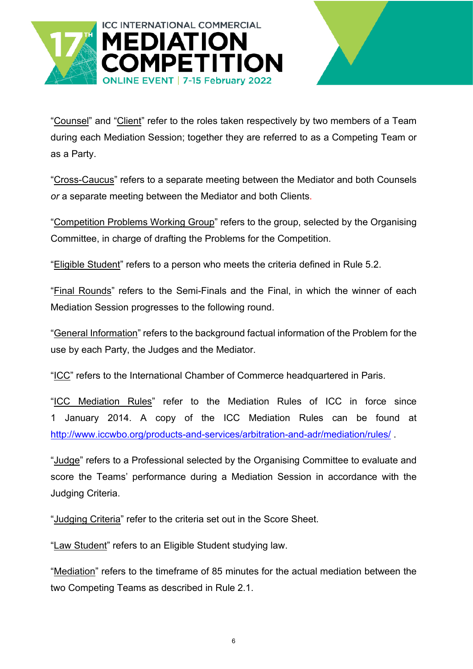

![](_page_5_Picture_1.jpeg)

"Counsel" and "Client" refer to the roles taken respectively by two members of a Team during each Mediation Session; together they are referred to as a Competing Team or as a Party.

"Cross-Caucus" refers to a separate meeting between the Mediator and both Counsels *or* a separate meeting between the Mediator and both Clients.

"Competition Problems Working Group" refers to the group, selected by the Organising Committee, in charge of drafting the Problems for the Competition.

"Eligible Student" refers to a person who meets the criteria defined in Rule 5.2.

"Final Rounds" refers to the Semi-Finals and the Final, in which the winner of each Mediation Session progresses to the following round.

"General Information" refers to the background factual information of the Problem for the use by each Party, the Judges and the Mediator.

"ICC" refers to the International Chamber of Commerce headquartered in Paris.

"ICC Mediation Rules" refer to the Mediation Rules of ICC in force since 1 January 2014. A copy of the ICC Mediation Rules can be found at <http://www.iccwbo.org/products-and-services/arbitration-and-adr/mediation/rules/> .

"Judge" refers to a Professional selected by the Organising Committee to evaluate and score the Teams' performance during a Mediation Session in accordance with the Judging Criteria.

"Judging Criteria" refer to the criteria set out in the Score Sheet.

"Law Student" refers to an Eligible Student studying law.

"Mediation" refers to the timeframe of 85 minutes for the actual mediation between the two Competing Teams as described in Rule 2.1.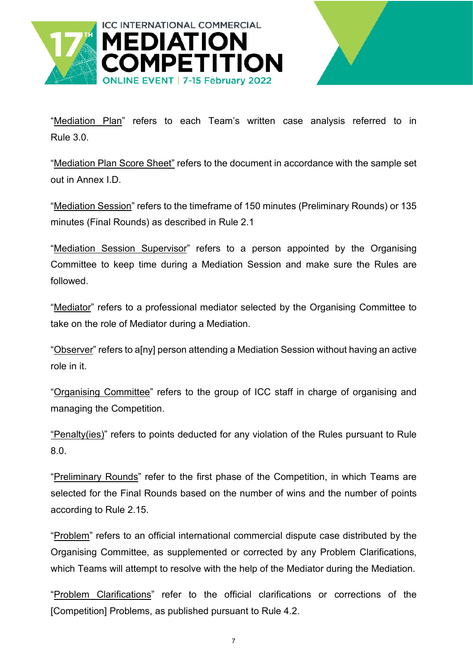![](_page_6_Picture_0.jpeg)

![](_page_6_Picture_1.jpeg)

"Mediation Plan" refers to each Team's written case analysis referred to in Rule 3.0.

"Mediation Plan Score Sheet" refers to the document in accordance with the sample set out in Annex I.D.

"Mediation Session" refers to the timeframe of 150 minutes (Preliminary Rounds) or 135 minutes (Final Rounds) as described in Rule 2.1

"Mediation Session Supervisor" refers to a person appointed by the Organising Committee to keep time during a Mediation Session and make sure the Rules are followed.

"Mediator" refers to a professional mediator selected by the Organising Committee to take on the role of Mediator during a Mediation.

"Observer" refers to a[ny] person attending a Mediation Session without having an active role in it.

"Organising Committee" refers to the group of ICC staff in charge of organising and managing the Competition.

"Penalty(ies)" refers to points deducted for any violation of the Rules pursuant to Rule 8.0.

"Preliminary Rounds" refer to the first phase of the Competition, in which Teams are selected for the Final Rounds based on the number of wins and the number of points according to Rule 2.15.

"Problem" refers to an official international commercial dispute case distributed by the Organising Committee, as supplemented or corrected by any Problem Clarifications, which Teams will attempt to resolve with the help of the Mediator during the Mediation.

"Problem Clarifications" refer to the official clarifications or corrections of the [Competition] Problems, as published pursuant to Rule 4.2.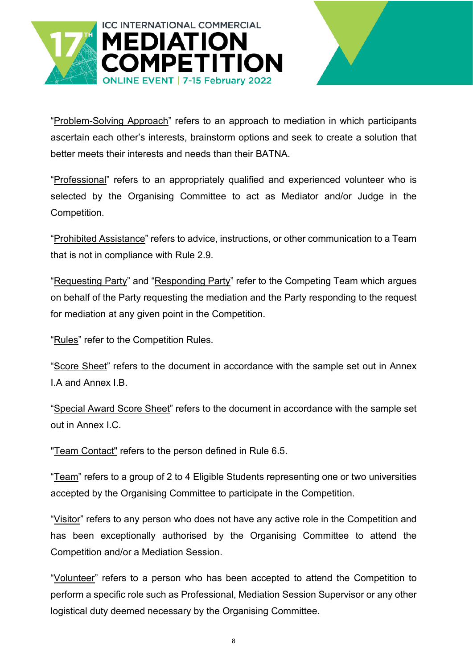![](_page_7_Picture_0.jpeg)

![](_page_7_Picture_1.jpeg)

"Problem-Solving Approach" refers to an approach to mediation in which participants ascertain each other's interests, brainstorm options and seek to create a solution that better meets their interests and needs than their BATNA.

"Professional" refers to an appropriately qualified and experienced volunteer who is selected by the Organising Committee to act as Mediator and/or Judge in the Competition.

"Prohibited Assistance" refers to advice, instructions, or other communication to a Team that is not in compliance with Rule 2.9.

"Requesting Party" and "Responding Party" refer to the Competing Team which argues on behalf of the Party requesting the mediation and the Party responding to the request for mediation at any given point in the Competition.

"Rules" refer to the Competition Rules.

"Score Sheet" refers to the document in accordance with the sample set out in Annex I.A and Annex I.B.

"Special Award Score Sheet" refers to the document in accordance with the sample set out in Annex I.C.

"Team Contact" refers to the person defined in Rule 6.5.

"Team" refers to a group of 2 to 4 Eligible Students representing one or two universities accepted by the Organising Committee to participate in the Competition.

"Visitor" refers to any person who does not have any active role in the Competition and has been exceptionally authorised by the Organising Committee to attend the Competition and/or a Mediation Session.

"Volunteer" refers to a person who has been accepted to attend the Competition to perform a specific role such as Professional, Mediation Session Supervisor or any other logistical duty deemed necessary by the Organising Committee.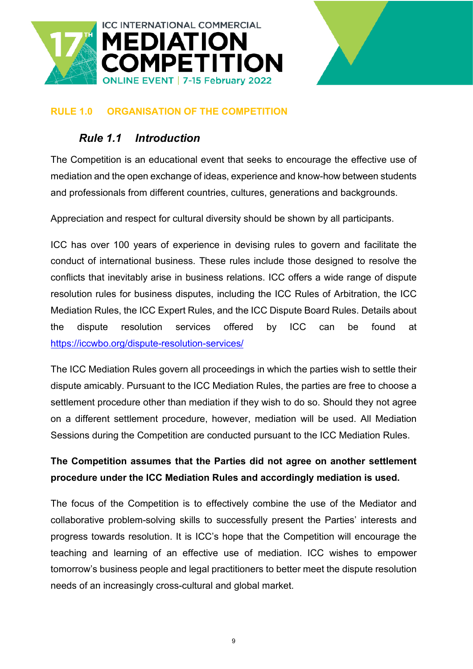![](_page_8_Picture_0.jpeg)

![](_page_8_Picture_1.jpeg)

#### <span id="page-8-1"></span><span id="page-8-0"></span>**RULE 1.0 ORGANISATION OF THE COMPETITION**

#### *Rule 1.1 Introduction*

The Competition is an educational event that seeks to encourage the effective use of mediation and the open exchange of ideas, experience and know-how between students and professionals from different countries, cultures, generations and backgrounds.

Appreciation and respect for cultural diversity should be shown by all participants.

ICC has over 100 years of experience in devising rules to govern and facilitate the conduct of international business. These rules include those designed to resolve the conflicts that inevitably arise in business relations. ICC offers a wide range of dispute resolution rules for business disputes, including the ICC Rules of Arbitration, the ICC Mediation Rules, the ICC Expert Rules, and the ICC Dispute Board Rules. Details about the dispute resolution services offered by ICC can be found at <https://iccwbo.org/dispute-resolution-services/>

The ICC Mediation Rules govern all proceedings in which the parties wish to settle their dispute amicably. Pursuant to the ICC Mediation Rules, the parties are free to choose a settlement procedure other than mediation if they wish to do so. Should they not agree on a different settlement procedure, however, mediation will be used. All Mediation Sessions during the Competition are conducted pursuant to the ICC Mediation Rules.

### **The Competition assumes that the Parties did not agree on another settlement procedure under the ICC Mediation Rules and accordingly mediation is used.**

The focus of the Competition is to effectively combine the use of the Mediator and collaborative problem-solving skills to successfully present the Parties' interests and progress towards resolution. It is ICC's hope that the Competition will encourage the teaching and learning of an effective use of mediation. ICC wishes to empower tomorrow's business people and legal practitioners to better meet the dispute resolution needs of an increasingly cross-cultural and global market.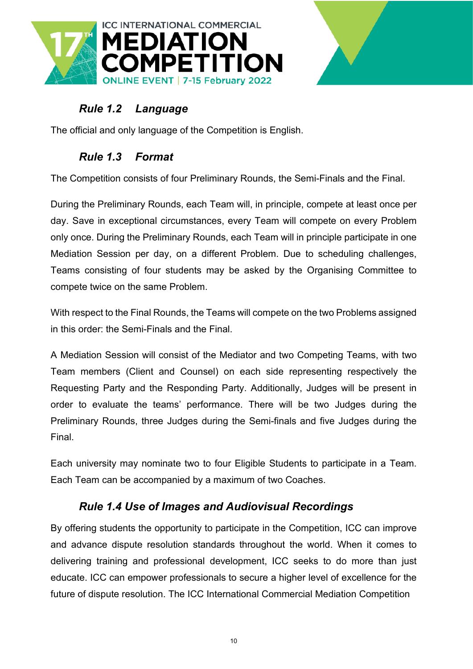![](_page_9_Picture_0.jpeg)

![](_page_9_Picture_1.jpeg)

# <span id="page-9-0"></span>*Rule 1.2 Language*

<span id="page-9-1"></span>The official and only language of the Competition is English.

### *Rule 1.3 Format*

The Competition consists of four Preliminary Rounds, the Semi-Finals and the Final.

During the Preliminary Rounds, each Team will, in principle, compete at least once per day. Save in exceptional circumstances, every Team will compete on every Problem only once. During the Preliminary Rounds, each Team will in principle participate in one Mediation Session per day, on a different Problem. Due to scheduling challenges, Teams consisting of four students may be asked by the Organising Committee to compete twice on the same Problem.

With respect to the Final Rounds, the Teams will compete on the two Problems assigned in this order: the Semi-Finals and the Final.

A Mediation Session will consist of the Mediator and two Competing Teams, with two Team members (Client and Counsel) on each side representing respectively the Requesting Party and the Responding Party. Additionally, Judges will be present in order to evaluate the teams' performance. There will be two Judges during the Preliminary Rounds, three Judges during the Semi-finals and five Judges during the Final.

Each university may nominate two to four Eligible Students to participate in a Team. Each Team can be accompanied by a maximum of two Coaches.

#### <span id="page-9-2"></span>*Rule 1.4 Use of Images and Audiovisual Recordings*

By offering students the opportunity to participate in the Competition, ICC can improve and advance dispute resolution standards throughout the world. When it comes to delivering training and professional development, ICC seeks to do more than just educate. ICC can empower professionals to secure a higher level of excellence for the future of dispute resolution. The ICC International Commercial Mediation Competition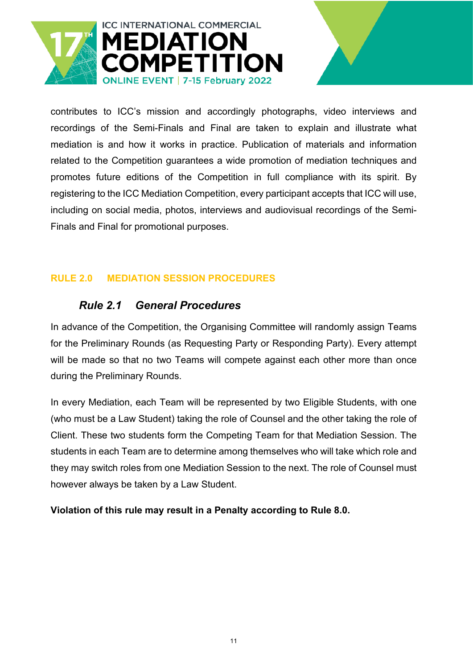![](_page_10_Picture_0.jpeg)

contributes to ICC's mission and accordingly photographs, video interviews and recordings of the Semi-Finals and Final are taken to explain and illustrate what mediation is and how it works in practice. Publication of materials and information related to the Competition guarantees a wide promotion of mediation techniques and promotes future editions of the Competition in full compliance with its spirit. By registering to the ICC Mediation Competition, every participant accepts that ICC will use, including on social media, photos, interviews and audiovisual recordings of the Semi-Finals and Final for promotional purposes.

#### <span id="page-10-1"></span><span id="page-10-0"></span>**RULE 2.0 MEDIATION SESSION PROCEDURES**

#### *Rule 2.1 General Procedures*

In advance of the Competition, the Organising Committee will randomly assign Teams for the Preliminary Rounds (as Requesting Party or Responding Party). Every attempt will be made so that no two Teams will compete against each other more than once during the Preliminary Rounds.

In every Mediation, each Team will be represented by two Eligible Students, with one (who must be a Law Student) taking the role of Counsel and the other taking the role of Client. These two students form the Competing Team for that Mediation Session. The students in each Team are to determine among themselves who will take which role and they may switch roles from one Mediation Session to the next. The role of Counsel must however always be taken by a Law Student.

**Violation of this rule may result in a Penalty according to Rule 8.0.**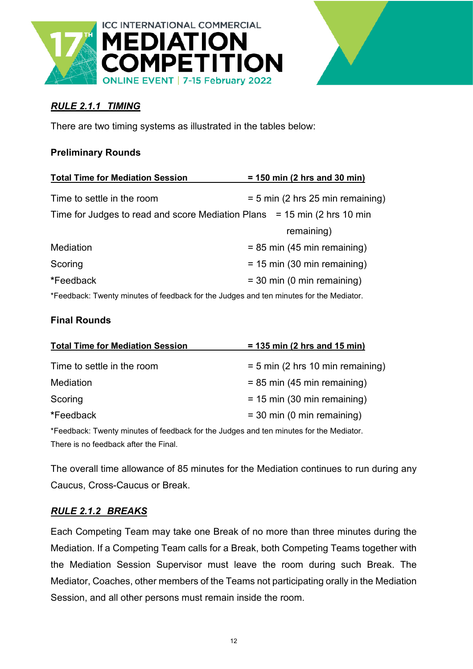![](_page_11_Picture_0.jpeg)

### <span id="page-11-0"></span>*RULE 2.1.1 TIMING*

There are two timing systems as illustrated in the tables below:

#### **Preliminary Rounds**

| <b>Total Time for Mediation Session</b>                                                | $= 150$ min (2 hrs and 30 min)     |
|----------------------------------------------------------------------------------------|------------------------------------|
| Time to settle in the room                                                             | $= 5$ min (2 hrs 25 min remaining) |
| Time for Judges to read and score Mediation Plans = 15 min (2 hrs 10 min               |                                    |
|                                                                                        | remaining)                         |
| Mediation                                                                              | $= 85$ min (45 min remaining)      |
| Scoring                                                                                | $= 15$ min (30 min remaining)      |
| *Feedback                                                                              | $=$ 30 min (0 min remaining)       |
| *Feedback: Twenty minutes of feedback for the Judges and ten minutes for the Mediator. |                                    |

#### **Final Rounds**

| <b>Total Time for Mediation Session</b>                                                | $= 135$ min (2 hrs and 15 min)     |  |  |  |
|----------------------------------------------------------------------------------------|------------------------------------|--|--|--|
| Time to settle in the room                                                             | $= 5$ min (2 hrs 10 min remaining) |  |  |  |
| Mediation                                                                              | $= 85$ min (45 min remaining)      |  |  |  |
| Scoring                                                                                | $= 15$ min (30 min remaining)      |  |  |  |
| *Feedback                                                                              | $=$ 30 min (0 min remaining)       |  |  |  |
| *Feedback: Twenty minutes of feedback for the Judges and ten minutes for the Mediator. |                                    |  |  |  |
| There is no feedback after the Final.                                                  |                                    |  |  |  |

The overall time allowance of 85 minutes for the Mediation continues to run during any Caucus, Cross-Caucus or Break.

#### <span id="page-11-1"></span>*RULE 2.1.2 BREAKS*

Each Competing Team may take one Break of no more than three minutes during the Mediation. If a Competing Team calls for a Break, both Competing Teams together with the Mediation Session Supervisor must leave the room during such Break. The Mediator, Coaches, other members of the Teams not participating orally in the Mediation Session, and all other persons must remain inside the room.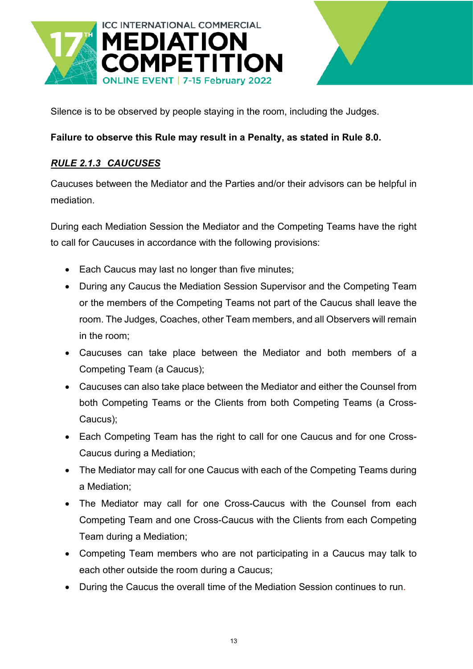![](_page_12_Picture_0.jpeg)

Silence is to be observed by people staying in the room, including the Judges.

#### **Failure to observe this Rule may result in a Penalty, as stated in Rule 8.0.**

#### <span id="page-12-0"></span>*RULE 2.1.3 CAUCUSES*

Caucuses between the Mediator and the Parties and/or their advisors can be helpful in mediation.

During each Mediation Session the Mediator and the Competing Teams have the right to call for Caucuses in accordance with the following provisions:

- Each Caucus may last no longer than five minutes;
- During any Caucus the Mediation Session Supervisor and the Competing Team or the members of the Competing Teams not part of the Caucus shall leave the room. The Judges, Coaches, other Team members, and all Observers will remain in the room;
- Caucuses can take place between the Mediator and both members of a Competing Team (a Caucus);
- Caucuses can also take place between the Mediator and either the Counsel from both Competing Teams or the Clients from both Competing Teams (a Cross-Caucus);
- Each Competing Team has the right to call for one Caucus and for one Cross-Caucus during a Mediation;
- The Mediator may call for one Caucus with each of the Competing Teams during a Mediation;
- The Mediator may call for one Cross-Caucus with the Counsel from each Competing Team and one Cross-Caucus with the Clients from each Competing Team during a Mediation;
- Competing Team members who are not participating in a Caucus may talk to each other outside the room during a Caucus;
- During the Caucus the overall time of the Mediation Session continues to run.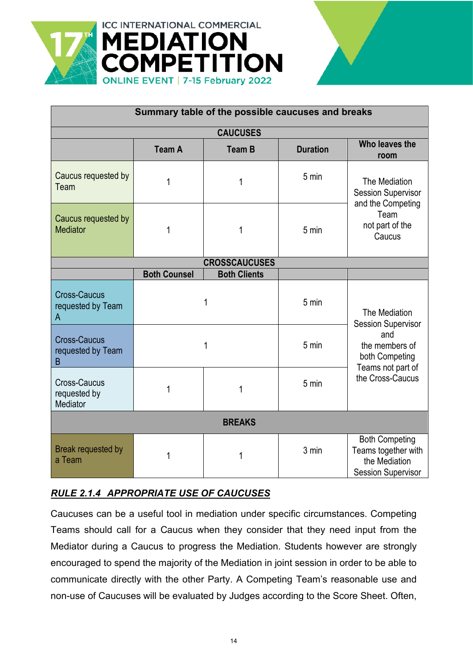![](_page_13_Picture_0.jpeg)

| <b>ERNATIONAL COMMERCIAL</b><br><b>EDIATION</b> | <b>MPETITION</b><br>E EVENT   7-15 February 2022  |                |
|-------------------------------------------------|---------------------------------------------------|----------------|
|                                                 | Summary table of the possible caucuses and breaks |                |
|                                                 | <b>CAUCUSES</b>                                   |                |
|                                                 |                                                   | Who leaves the |

| <b>CAUCUSES</b>                                 |                     |                      |                 |                                                                                            |  |  |
|-------------------------------------------------|---------------------|----------------------|-----------------|--------------------------------------------------------------------------------------------|--|--|
|                                                 | <b>Team A</b>       | <b>Team B</b>        | <b>Duration</b> | Who leaves the<br>room                                                                     |  |  |
| Caucus requested by<br>Team                     | 1                   | 1                    | 5 min           | The Mediation<br><b>Session Supervisor</b><br>and the Competing                            |  |  |
| Caucus requested by<br><b>Mediator</b>          | 1                   | 1                    | 5 min           | Team<br>not part of the<br>Caucus                                                          |  |  |
|                                                 |                     | <b>CROSSCAUCUSES</b> |                 |                                                                                            |  |  |
|                                                 | <b>Both Counsel</b> | <b>Both Clients</b>  |                 |                                                                                            |  |  |
| <b>Cross-Caucus</b><br>requested by Team<br>A   |                     | 1                    | 5 min           | The Mediation<br><b>Session Supervisor</b>                                                 |  |  |
| <b>Cross-Caucus</b><br>requested by Team<br>B   |                     | 1                    | 5 min           | and<br>the members of<br>both Competing<br>Teams not part of                               |  |  |
| <b>Cross-Caucus</b><br>requested by<br>Mediator |                     | 1                    | 5 min           | the Cross-Caucus                                                                           |  |  |
| <b>BREAKS</b>                                   |                     |                      |                 |                                                                                            |  |  |
| Break requested by<br>a Team                    |                     | 1                    | 3 min           | <b>Both Competing</b><br>Teams together with<br>the Mediation<br><b>Session Supervisor</b> |  |  |

# <span id="page-13-0"></span>*RULE 2.1.4 APPROPRIATE USE OF CAUCUSES*

Caucuses can be a useful tool in mediation under specific circumstances. Competing Teams should call for a Caucus when they consider that they need input from the Mediator during a Caucus to progress the Mediation. Students however are strongly encouraged to spend the majority of the Mediation in joint session in order to be able to communicate directly with the other Party. A Competing Team's reasonable use and non-use of Caucuses will be evaluated by Judges according to the Score Sheet. Often,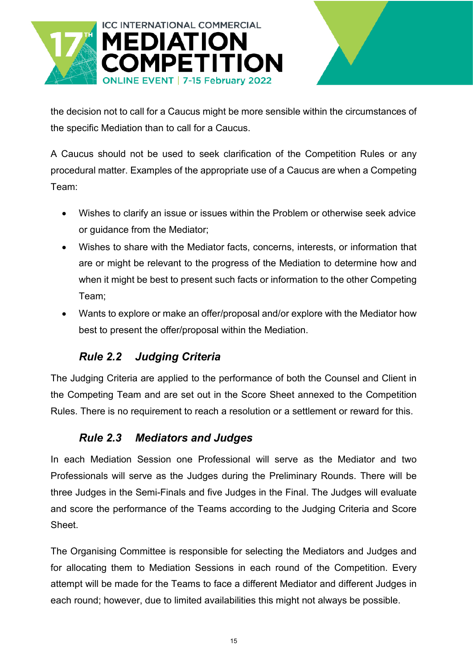![](_page_14_Picture_0.jpeg)

![](_page_14_Picture_1.jpeg)

the decision not to call for a Caucus might be more sensible within the circumstances of the specific Mediation than to call for a Caucus.

A Caucus should not be used to seek clarification of the Competition Rules or any procedural matter. Examples of the appropriate use of a Caucus are when a Competing Team:

- Wishes to clarify an issue or issues within the Problem or otherwise seek advice or guidance from the Mediator;
- Wishes to share with the Mediator facts, concerns, interests, or information that are or might be relevant to the progress of the Mediation to determine how and when it might be best to present such facts or information to the other Competing Team;
- Wants to explore or make an offer/proposal and/or explore with the Mediator how best to present the offer/proposal within the Mediation.

# *Rule 2.2 Judging Criteria*

<span id="page-14-0"></span>The Judging Criteria are applied to the performance of both the Counsel and Client in the Competing Team and are set out in the Score Sheet annexed to the Competition Rules. There is no requirement to reach a resolution or a settlement or reward for this.

### <span id="page-14-1"></span>*Rule 2.3 Mediators and Judges*

In each Mediation Session one Professional will serve as the Mediator and two Professionals will serve as the Judges during the Preliminary Rounds. There will be three Judges in the Semi-Finals and five Judges in the Final. The Judges will evaluate and score the performance of the Teams according to the Judging Criteria and Score Sheet.

The Organising Committee is responsible for selecting the Mediators and Judges and for allocating them to Mediation Sessions in each round of the Competition. Every attempt will be made for the Teams to face a different Mediator and different Judges in each round; however, due to limited availabilities this might not always be possible.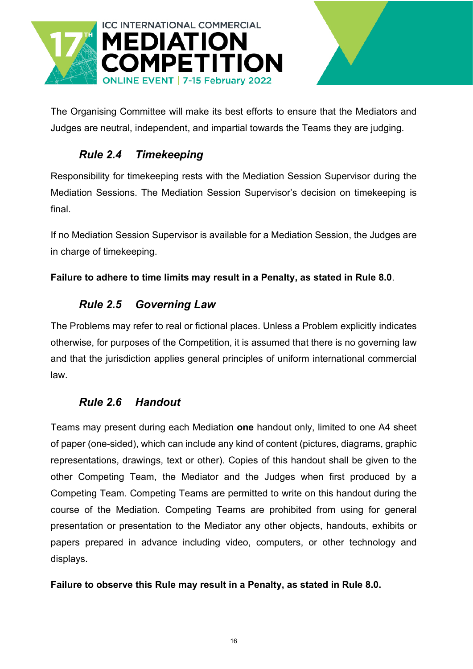![](_page_15_Picture_0.jpeg)

![](_page_15_Picture_1.jpeg)

The Organising Committee will make its best efforts to ensure that the Mediators and Judges are neutral, independent, and impartial towards the Teams they are judging.

# <span id="page-15-0"></span>*Rule 2.4 Timekeeping*

Responsibility for timekeeping rests with the Mediation Session Supervisor during the Mediation Sessions. The Mediation Session Supervisor's decision on timekeeping is final.

If no Mediation Session Supervisor is available for a Mediation Session, the Judges are in charge of timekeeping.

#### <span id="page-15-1"></span>**Failure to adhere to time limits may result in a Penalty, as stated in Rule 8.0**.

### *Rule 2.5 Governing Law*

The Problems may refer to real or fictional places. Unless a Problem explicitly indicates otherwise, for purposes of the Competition, it is assumed that there is no governing law and that the jurisdiction applies general principles of uniform international commercial law.

### <span id="page-15-2"></span>*Rule 2.6 Handout*

Teams may present during each Mediation **one** handout only, limited to one A4 sheet of paper (one-sided), which can include any kind of content (pictures, diagrams, graphic representations, drawings, text or other). Copies of this handout shall be given to the other Competing Team, the Mediator and the Judges when first produced by a Competing Team. Competing Teams are permitted to write on this handout during the course of the Mediation. Competing Teams are prohibited from using for general presentation or presentation to the Mediator any other objects, handouts, exhibits or papers prepared in advance including video, computers, or other technology and displays.

#### **Failure to observe this Rule may result in a Penalty, as stated in Rule 8.0.**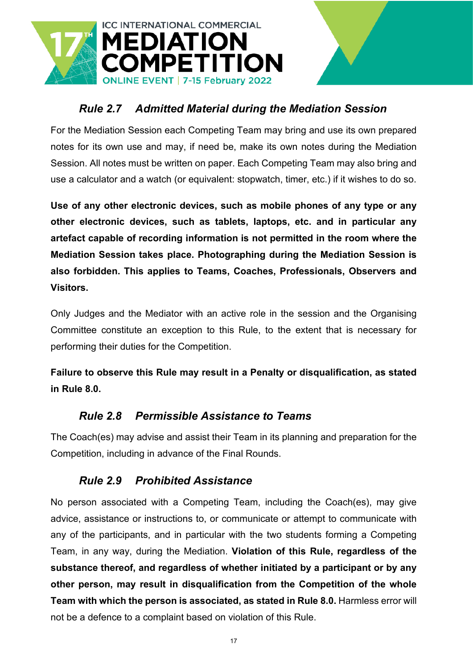![](_page_16_Picture_0.jpeg)

### <span id="page-16-0"></span>*Rule 2.7 Admitted Material during the Mediation Session*

For the Mediation Session each Competing Team may bring and use its own prepared notes for its own use and may, if need be, make its own notes during the Mediation Session. All notes must be written on paper. Each Competing Team may also bring and use a calculator and a watch (or equivalent: stopwatch, timer, etc.) if it wishes to do so.

**Use of any other electronic devices, such as mobile phones of any type or any other electronic devices, such as tablets, laptops, etc. and in particular any artefact capable of recording information is not permitted in the room where the Mediation Session takes place. Photographing during the Mediation Session is also forbidden. This applies to Teams, Coaches, Professionals, Observers and Visitors.**

Only Judges and the Mediator with an active role in the session and the Organising Committee constitute an exception to this Rule, to the extent that is necessary for performing their duties for the Competition.

**Failure to observe this Rule may result in a Penalty or disqualification, as stated in Rule 8.0.** 

#### <span id="page-16-1"></span>*Rule 2.8 Permissible Assistance to Teams*

The Coach(es) may advise and assist their Team in its planning and preparation for the Competition, including in advance of the Final Rounds.

#### <span id="page-16-2"></span>*Rule 2.9 Prohibited Assistance*

No person associated with a Competing Team, including the Coach(es), may give advice, assistance or instructions to, or communicate or attempt to communicate with any of the participants, and in particular with the two students forming a Competing Team, in any way, during the Mediation. **Violation of this Rule, regardless of the substance thereof, and regardless of whether initiated by a participant or by any other person, may result in disqualification from the Competition of the whole Team with which the person is associated, as stated in Rule 8.0.** Harmless error will not be a defence to a complaint based on violation of this Rule.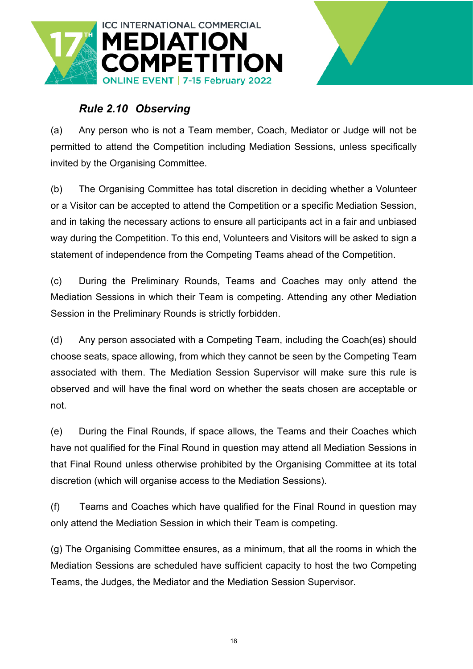![](_page_17_Picture_0.jpeg)

# <span id="page-17-0"></span>*Rule 2.10 Observing*

(a) Any person who is not a Team member, Coach, Mediator or Judge will not be permitted to attend the Competition including Mediation Sessions, unless specifically invited by the Organising Committee.

(b) The Organising Committee has total discretion in deciding whether a Volunteer or a Visitor can be accepted to attend the Competition or a specific Mediation Session, and in taking the necessary actions to ensure all participants act in a fair and unbiased way during the Competition. To this end, Volunteers and Visitors will be asked to sign a statement of independence from the Competing Teams ahead of the Competition.

(c) During the Preliminary Rounds, Teams and Coaches may only attend the Mediation Sessions in which their Team is competing. Attending any other Mediation Session in the Preliminary Rounds is strictly forbidden.

(d) Any person associated with a Competing Team, including the Coach(es) should choose seats, space allowing, from which they cannot be seen by the Competing Team associated with them. The Mediation Session Supervisor will make sure this rule is observed and will have the final word on whether the seats chosen are acceptable or not.

(e) During the Final Rounds, if space allows, the Teams and their Coaches which have not qualified for the Final Round in question may attend all Mediation Sessions in that Final Round unless otherwise prohibited by the Organising Committee at its total discretion (which will organise access to the Mediation Sessions).

(f) Teams and Coaches which have qualified for the Final Round in question may only attend the Mediation Session in which their Team is competing.

(g) The Organising Committee ensures, as a minimum, that all the rooms in which the Mediation Sessions are scheduled have sufficient capacity to host the two Competing Teams, the Judges, the Mediator and the Mediation Session Supervisor.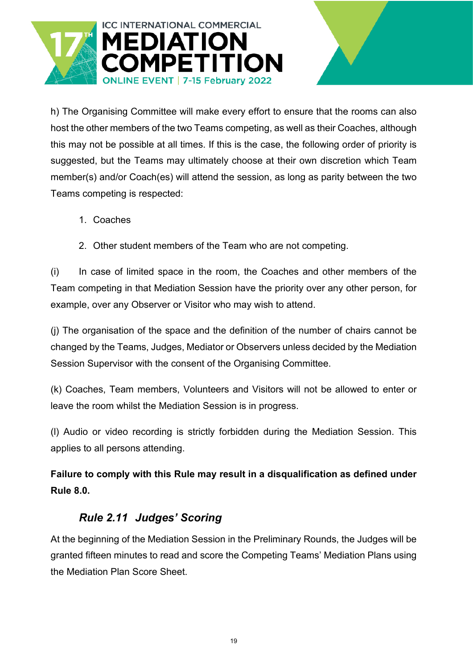![](_page_18_Picture_0.jpeg)

h) The Organising Committee will make every effort to ensure that the rooms can also host the other members of the two Teams competing, as well as their Coaches, although this may not be possible at all times. If this is the case, the following order of priority is suggested, but the Teams may ultimately choose at their own discretion which Team member(s) and/or Coach(es) will attend the session, as long as parity between the two Teams competing is respected:

- 1. Coaches
- 2. Other student members of the Team who are not competing.

(i) In case of limited space in the room, the Coaches and other members of the Team competing in that Mediation Session have the priority over any other person, for example, over any Observer or Visitor who may wish to attend.

(j) The organisation of the space and the definition of the number of chairs cannot be changed by the Teams, Judges, Mediator or Observers unless decided by the Mediation Session Supervisor with the consent of the Organising Committee.

(k) Coaches, Team members, Volunteers and Visitors will not be allowed to enter or leave the room whilst the Mediation Session is in progress.

(l) Audio or video recording is strictly forbidden during the Mediation Session. This applies to all persons attending.

**Failure to comply with this Rule may result in a disqualification as defined under Rule 8.0.**

#### <span id="page-18-0"></span>*Rule 2.11 Judges' Scoring*

At the beginning of the Mediation Session in the Preliminary Rounds, the Judges will be granted fifteen minutes to read and score the Competing Teams' Mediation Plans using the Mediation Plan Score Sheet.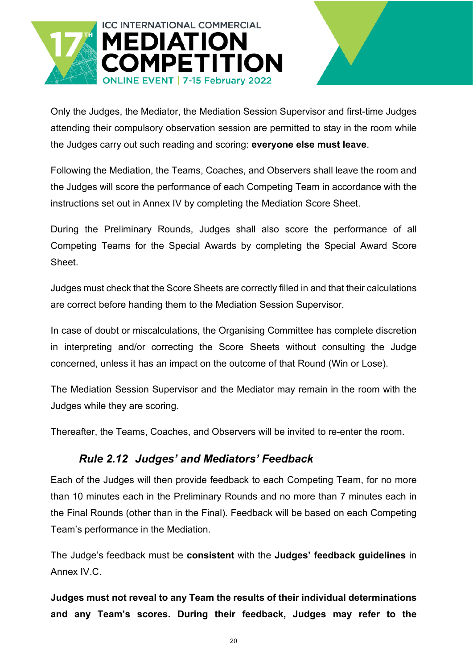![](_page_19_Picture_0.jpeg)

Only the Judges, the Mediator, the Mediation Session Supervisor and first-time Judges attending their compulsory observation session are permitted to stay in the room while the Judges carry out such reading and scoring: **everyone else must leave**.

Following the Mediation, the Teams, Coaches, and Observers shall leave the room and the Judges will score the performance of each Competing Team in accordance with the instructions set out in Annex IV by completing the Mediation Score Sheet.

During the Preliminary Rounds, Judges shall also score the performance of all Competing Teams for the Special Awards by completing the Special Award Score Sheet.

Judges must check that the Score Sheets are correctly filled in and that their calculations are correct before handing them to the Mediation Session Supervisor.

In case of doubt or miscalculations, the Organising Committee has complete discretion in interpreting and/or correcting the Score Sheets without consulting the Judge concerned, unless it has an impact on the outcome of that Round (Win or Lose).

The Mediation Session Supervisor and the Mediator may remain in the room with the Judges while they are scoring.

<span id="page-19-0"></span>Thereafter, the Teams, Coaches, and Observers will be invited to re-enter the room.

### *Rule 2.12 Judges' and Mediators' Feedback*

Each of the Judges will then provide feedback to each Competing Team, for no more than 10 minutes each in the Preliminary Rounds and no more than 7 minutes each in the Final Rounds (other than in the Final). Feedback will be based on each Competing Team's performance in the Mediation.

The Judge's feedback must be **consistent** with the **Judges' feedback guidelines** in Annex IV.C.

**Judges must not reveal to any Team the results of their individual determinations and any Team's scores. During their feedback, Judges may refer to the**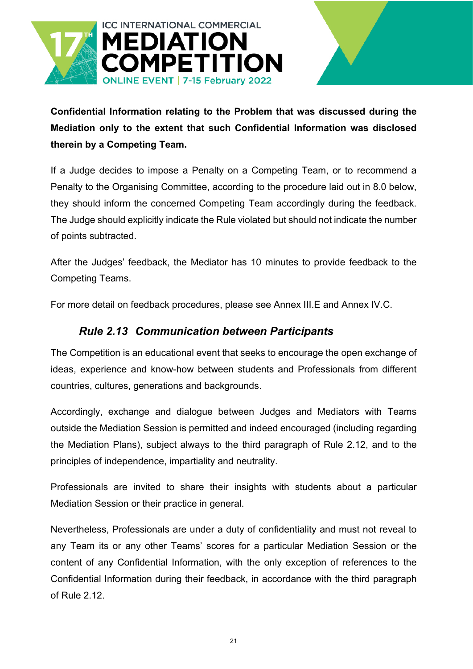![](_page_20_Picture_0.jpeg)

**Confidential Information relating to the Problem that was discussed during the Mediation only to the extent that such Confidential Information was disclosed therein by a Competing Team.**

If a Judge decides to impose a Penalty on a Competing Team, or to recommend a Penalty to the Organising Committee, according to the procedure laid out in 8.0 below, they should inform the concerned Competing Team accordingly during the feedback. The Judge should explicitly indicate the Rule violated but should not indicate the number of points subtracted.

After the Judges' feedback, the Mediator has 10 minutes to provide feedback to the Competing Teams.

<span id="page-20-0"></span>For more detail on feedback procedures, please see Annex III.E and Annex IV.C.

### *Rule 2.13 Communication between Participants*

The Competition is an educational event that seeks to encourage the open exchange of ideas, experience and know-how between students and Professionals from different countries, cultures, generations and backgrounds.

Accordingly, exchange and dialogue between Judges and Mediators with Teams outside the Mediation Session is permitted and indeed encouraged (including regarding the Mediation Plans), subject always to the third paragraph of Rule 2.12, and to the principles of independence, impartiality and neutrality.

Professionals are invited to share their insights with students about a particular Mediation Session or their practice in general.

Nevertheless, Professionals are under a duty of confidentiality and must not reveal to any Team its or any other Teams' scores for a particular Mediation Session or the content of any Confidential Information, with the only exception of references to the Confidential Information during their feedback, in accordance with the third paragraph of Rule 2.12.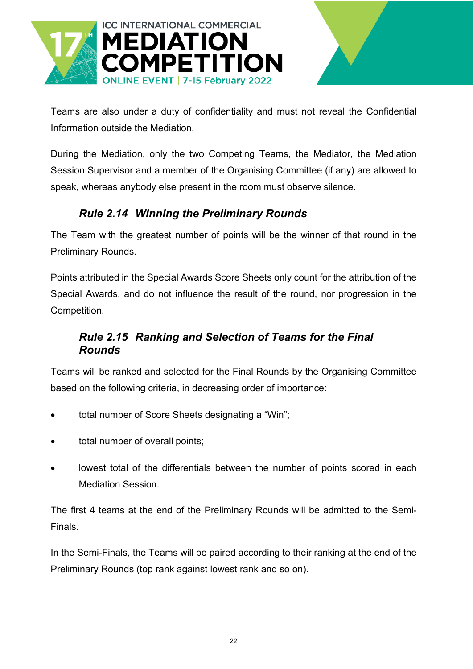![](_page_21_Picture_0.jpeg)

![](_page_21_Picture_1.jpeg)

Teams are also under a duty of confidentiality and must not reveal the Confidential Information outside the Mediation.

During the Mediation, only the two Competing Teams, the Mediator, the Mediation Session Supervisor and a member of the Organising Committee (if any) are allowed to speak, whereas anybody else present in the room must observe silence.

# <span id="page-21-0"></span>*Rule 2.14 Winning the Preliminary Rounds*

The Team with the greatest number of points will be the winner of that round in the Preliminary Rounds.

Points attributed in the Special Awards Score Sheets only count for the attribution of the Special Awards, and do not influence the result of the round, nor progression in the Competition.

### <span id="page-21-1"></span>*Rule 2.15 Ranking and Selection of Teams for the Final Rounds*

Teams will be ranked and selected for the Final Rounds by the Organising Committee based on the following criteria, in decreasing order of importance:

- total number of Score Sheets designating a "Win";
- total number of overall points;
- lowest total of the differentials between the number of points scored in each Mediation Session.

The first 4 teams at the end of the Preliminary Rounds will be admitted to the Semi-Finals.

In the Semi-Finals, the Teams will be paired according to their ranking at the end of the Preliminary Rounds (top rank against lowest rank and so on).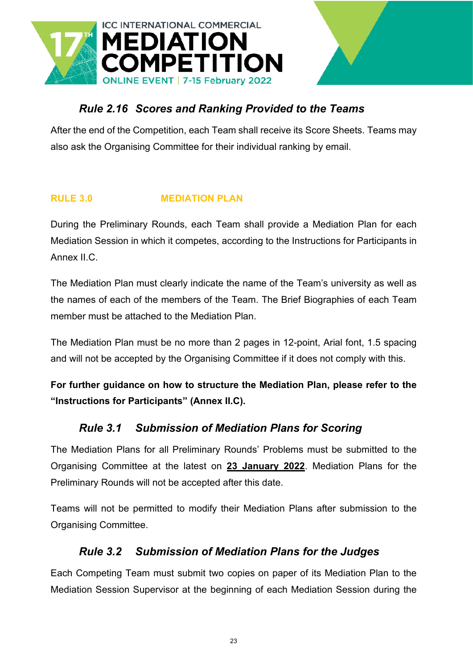![](_page_22_Picture_0.jpeg)

### <span id="page-22-0"></span>*Rule 2.16 Scores and Ranking Provided to the Teams*

After the end of the Competition, each Team shall receive its Score Sheets. Teams may also ask the Organising Committee for their individual ranking by email.

#### <span id="page-22-1"></span>**RULE 3.0 MEDIATION PLAN**

During the Preliminary Rounds, each Team shall provide a Mediation Plan for each Mediation Session in which it competes, according to the Instructions for Participants in Annex II.C.

The Mediation Plan must clearly indicate the name of the Team's university as well as the names of each of the members of the Team. The Brief Biographies of each Team member must be attached to the Mediation Plan.

The Mediation Plan must be no more than 2 pages in 12-point, Arial font, 1.5 spacing and will not be accepted by the Organising Committee if it does not comply with this.

**For further guidance on how to structure the Mediation Plan, please refer to the "Instructions for Participants" (Annex II.C).**

#### <span id="page-22-2"></span>*Rule 3.1 Submission of Mediation Plans for Scoring*

The Mediation Plans for all Preliminary Rounds' Problems must be submitted to the Organising Committee at the latest on **23 January 2022**. Mediation Plans for the Preliminary Rounds will not be accepted after this date.

Teams will not be permitted to modify their Mediation Plans after submission to the Organising Committee.

#### <span id="page-22-3"></span>*Rule 3.2 Submission of Mediation Plans for the Judges*

Each Competing Team must submit two copies on paper of its Mediation Plan to the Mediation Session Supervisor at the beginning of each Mediation Session during the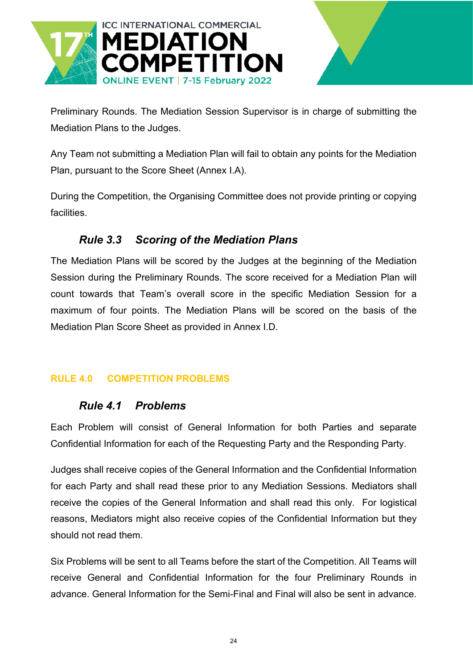![](_page_23_Picture_0.jpeg)

![](_page_23_Picture_1.jpeg)

Preliminary Rounds. The Mediation Session Supervisor is in charge of submitting the Mediation Plans to the Judges.

Any Team not submitting a Mediation Plan will fail to obtain any points for the Mediation Plan, pursuant to the Score Sheet (Annex I.A).

During the Competition, the Organising Committee does not provide printing or copying facilities.

### <span id="page-23-0"></span>*Rule 3.3 Scoring of the Mediation Plans*

The Mediation Plans will be scored by the Judges at the beginning of the Mediation Session during the Preliminary Rounds. The score received for a Mediation Plan will count towards that Team's overall score in the specific Mediation Session for a maximum of four points. The Mediation Plans will be scored on the basis of the Mediation Plan Score Sheet as provided in Annex I.D.

#### <span id="page-23-2"></span><span id="page-23-1"></span>**RULE 4.0 COMPETITION PROBLEMS**

#### *Rule 4.1 Problems*

Each Problem will consist of General Information for both Parties and separate Confidential Information for each of the Requesting Party and the Responding Party.

Judges shall receive copies of the General Information and the Confidential Information for each Party and shall read these prior to any Mediation Sessions. Mediators shall receive the copies of the General Information and shall read this only. For logistical reasons, Mediators might also receive copies of the Confidential Information but they should not read them.

Six Problems will be sent to all Teams before the start of the Competition. All Teams will receive General and Confidential Information for the four Preliminary Rounds in advance. General Information for the Semi-Final and Final will also be sent in advance.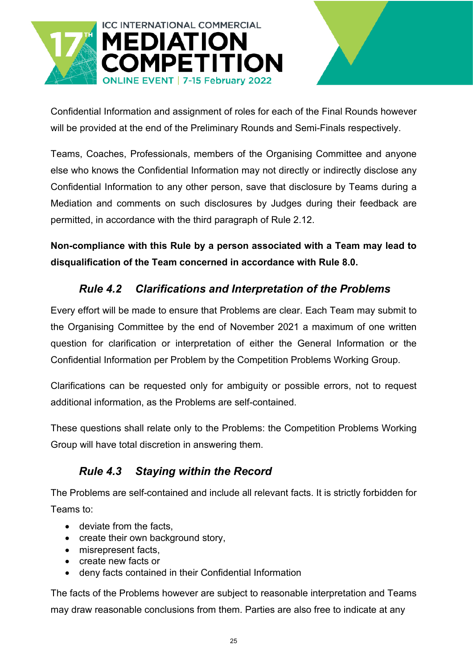![](_page_24_Picture_0.jpeg)

Confidential Information and assignment of roles for each of the Final Rounds however will be provided at the end of the Preliminary Rounds and Semi-Finals respectively.

Teams, Coaches, Professionals, members of the Organising Committee and anyone else who knows the Confidential Information may not directly or indirectly disclose any Confidential Information to any other person, save that disclosure by Teams during a Mediation and comments on such disclosures by Judges during their feedback are permitted, in accordance with the third paragraph of Rule 2.12.

**Non-compliance with this Rule by a person associated with a Team may lead to disqualification of the Team concerned in accordance with Rule 8.0.** 

### <span id="page-24-0"></span>*Rule 4.2 Clarifications and Interpretation of the Problems*

Every effort will be made to ensure that Problems are clear. Each Team may submit to the Organising Committee by the end of November 2021 a maximum of one written question for clarification or interpretation of either the General Information or the Confidential Information per Problem by the Competition Problems Working Group.

Clarifications can be requested only for ambiguity or possible errors, not to request additional information, as the Problems are self-contained.

These questions shall relate only to the Problems: the Competition Problems Working Group will have total discretion in answering them.

### <span id="page-24-1"></span>*Rule 4.3 Staying within the Record*

The Problems are self-contained and include all relevant facts. It is strictly forbidden for Teams to:

- deviate from the facts.
- create their own background story,
- misrepresent facts.
- create new facts or
- deny facts contained in their Confidential Information

The facts of the Problems however are subject to reasonable interpretation and Teams may draw reasonable conclusions from them. Parties are also free to indicate at any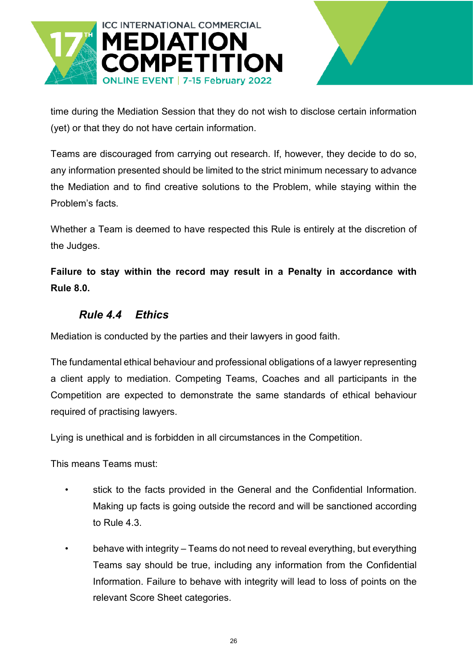![](_page_25_Picture_0.jpeg)

![](_page_25_Picture_1.jpeg)

time during the Mediation Session that they do not wish to disclose certain information (yet) or that they do not have certain information.

Teams are discouraged from carrying out research. If, however, they decide to do so, any information presented should be limited to the strict minimum necessary to advance the Mediation and to find creative solutions to the Problem, while staying within the Problem's facts.

Whether a Team is deemed to have respected this Rule is entirely at the discretion of the Judges.

**Failure to stay within the record may result in a Penalty in accordance with Rule 8.0.** 

### <span id="page-25-0"></span>*Rule 4.4 Ethics*

Mediation is conducted by the parties and their lawyers in good faith.

The fundamental ethical behaviour and professional obligations of a lawyer representing a client apply to mediation. Competing Teams, Coaches and all participants in the Competition are expected to demonstrate the same standards of ethical behaviour required of practising lawyers.

Lying is unethical and is forbidden in all circumstances in the Competition.

This means Teams must:

- stick to the facts provided in the General and the Confidential Information. Making up facts is going outside the record and will be sanctioned according to Rule 4.3.
- behave with integrity Teams do not need to reveal everything, but everything Teams say should be true, including any information from the Confidential Information. Failure to behave with integrity will lead to loss of points on the relevant Score Sheet categories.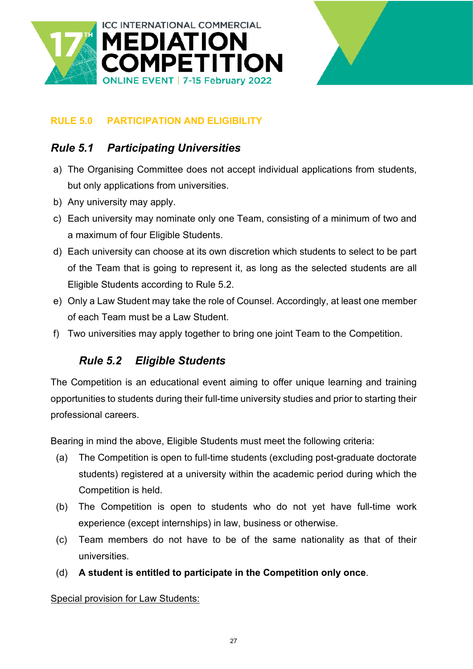![](_page_26_Picture_0.jpeg)

![](_page_26_Picture_1.jpeg)

#### <span id="page-26-0"></span>**RULE 5.0 PARTICIPATION AND ELIGIBILITY**

### <span id="page-26-1"></span>*Rule 5.1 Participating Universities*

- a) The Organising Committee does not accept individual applications from students, but only applications from universities.
- b) Any university may apply.
- c) Each university may nominate only one Team, consisting of a minimum of two and a maximum of four Eligible Students.
- d) Each university can choose at its own discretion which students to select to be part of the Team that is going to represent it, as long as the selected students are all Eligible Students according to Rule 5.2.
- e) Only a Law Student may take the role of Counsel. Accordingly, at least one member of each Team must be a Law Student.
- <span id="page-26-2"></span>f) Two universities may apply together to bring one joint Team to the Competition.

#### *Rule 5.2 Eligible Students*

The Competition is an educational event aiming to offer unique learning and training opportunities to students during their full-time university studies and prior to starting their professional careers.

Bearing in mind the above, Eligible Students must meet the following criteria:

- (a) The Competition is open to full-time students (excluding post-graduate doctorate students) registered at a university within the academic period during which the Competition is held.
- (b) The Competition is open to students who do not yet have full-time work experience (except internships) in law, business or otherwise.
- (c) Team members do not have to be of the same nationality as that of their universities.
- (d) **A student is entitled to participate in the Competition only once**.

#### Special provision for Law Students: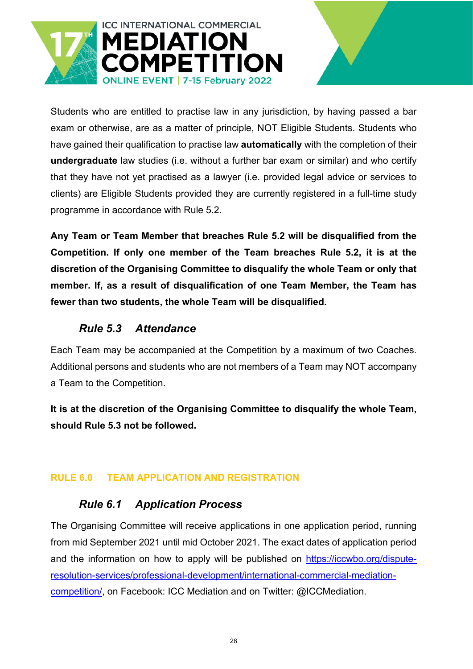![](_page_27_Picture_0.jpeg)

Students who are entitled to practise law in any jurisdiction, by having passed a bar exam or otherwise, are as a matter of principle, NOT Eligible Students. Students who have gained their qualification to practise law **automatically** with the completion of their **undergraduate** law studies (i.e. without a further bar exam or similar) and who certify that they have not yet practised as a lawyer (i.e. provided legal advice or services to clients) are Eligible Students provided they are currently registered in a full-time study programme in accordance with Rule 5.2.

**Any Team or Team Member that breaches Rule 5.2 will be disqualified from the Competition. If only one member of the Team breaches Rule 5.2, it is at the discretion of the Organising Committee to disqualify the whole Team or only that member. If, as a result of disqualification of one Team Member, the Team has fewer than two students, the whole Team will be disqualified.** 

### <span id="page-27-0"></span>*Rule 5.3 Attendance*

Each Team may be accompanied at the Competition by a maximum of two Coaches. Additional persons and students who are not members of a Team may NOT accompany a Team to the Competition.

**It is at the discretion of the Organising Committee to disqualify the whole Team, should Rule 5.3 not be followed.**

#### <span id="page-27-2"></span><span id="page-27-1"></span>**RULE 6.0 TEAM APPLICATION AND REGISTRATION**

#### *Rule 6.1 Application Process*

The Organising Committee will receive applications in one application period, running from mid September 2021 until mid October 2021. The exact dates of application period and the information on how to apply will be published on [https://iccwbo.org/dispute](https://iccwbo.org/dispute-resolution-services/professional-development/international-commercial-mediation-competition/)[resolution-services/professional-development/international-commercial-mediation](https://iccwbo.org/dispute-resolution-services/professional-development/international-commercial-mediation-competition/)[competition/,](https://iccwbo.org/dispute-resolution-services/professional-development/international-commercial-mediation-competition/) on Facebook: ICC Mediation and on Twitter: @ICCMediation.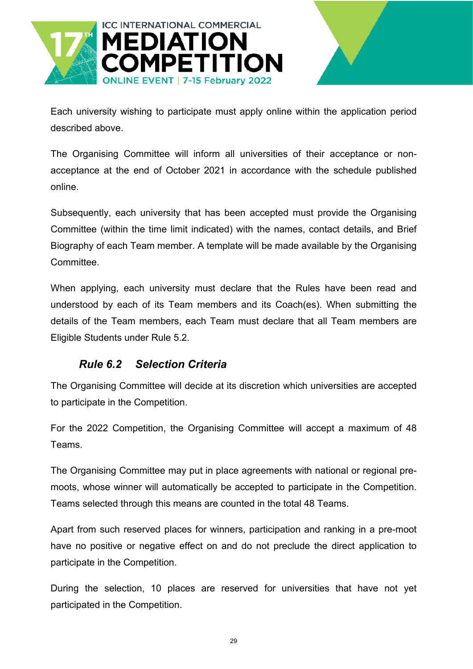![](_page_28_Picture_0.jpeg)

Each university wishing to participate must apply online within the application period described above.

The Organising Committee will inform all universities of their acceptance or nonacceptance at the end of October 2021 in accordance with the schedule published online.

Subsequently, each university that has been accepted must provide the Organising Committee (within the time limit indicated) with the names, contact details, and Brief Biography of each Team member. A template will be made available by the Organising Committee.

When applying, each university must declare that the Rules have been read and understood by each of its Team members and its Coach(es). When submitting the details of the Team members, each Team must declare that all Team members are Eligible Students under Rule 5.2.

#### <span id="page-28-0"></span>*Rule 6.2 Selection Criteria*

The Organising Committee will decide at its discretion which universities are accepted to participate in the Competition.

For the 2022 Competition, the Organising Committee will accept a maximum of 48 Teams.

The Organising Committee may put in place agreements with national or regional premoots, whose winner will automatically be accepted to participate in the Competition. Teams selected through this means are counted in the total 48 Teams.

Apart from such reserved places for winners, participation and ranking in a pre-moot have no positive or negative effect on and do not preclude the direct application to participate in the Competition.

During the selection, 10 places are reserved for universities that have not yet participated in the Competition.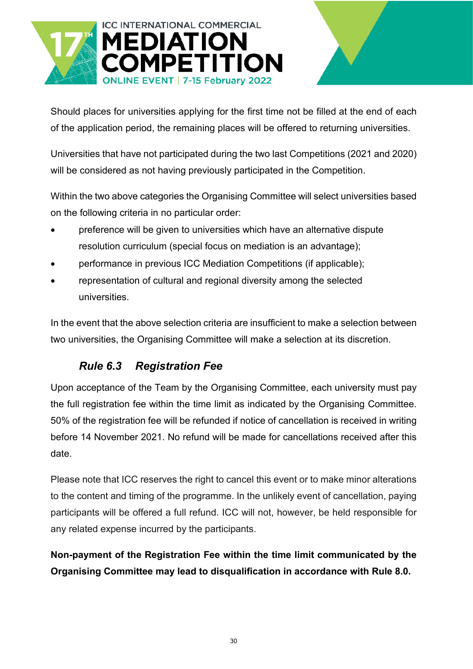![](_page_29_Picture_0.jpeg)

![](_page_29_Picture_1.jpeg)

Should places for universities applying for the first time not be filled at the end of each of the application period, the remaining places will be offered to returning universities.

Universities that have not participated during the two last Competitions (2021 and 2020) will be considered as not having previously participated in the Competition.

Within the two above categories the Organising Committee will select universities based on the following criteria in no particular order:

- preference will be given to universities which have an alternative dispute resolution curriculum (special focus on mediation is an advantage);
- performance in previous ICC Mediation Competitions (if applicable);
- representation of cultural and regional diversity among the selected universities.

In the event that the above selection criteria are insufficient to make a selection between two universities, the Organising Committee will make a selection at its discretion.

# <span id="page-29-0"></span>*Rule 6.3 Registration Fee*

Upon acceptance of the Team by the Organising Committee, each university must pay the full registration fee within the time limit as indicated by the Organising Committee. 50% of the registration fee will be refunded if notice of cancellation is received in writing before 14 November 2021. No refund will be made for cancellations received after this date.

Please note that ICC reserves the right to cancel this event or to make minor alterations to the content and timing of the programme. In the unlikely event of cancellation, paying participants will be offered a full refund. ICC will not, however, be held responsible for any related expense incurred by the participants.

**Non-payment of the Registration Fee within the time limit communicated by the Organising Committee may lead to disqualification in accordance with Rule 8.0.**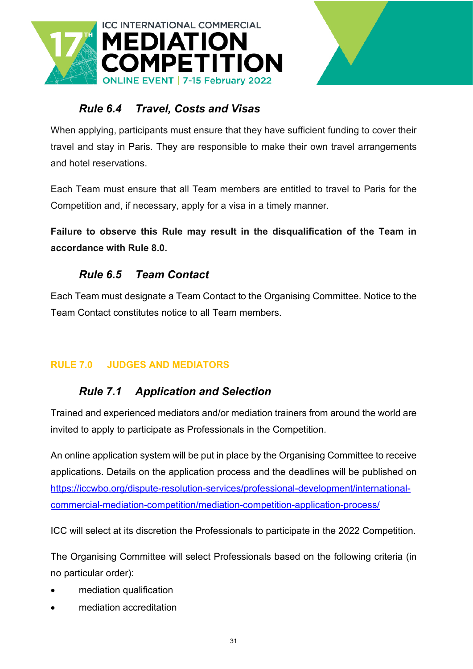![](_page_30_Picture_0.jpeg)

![](_page_30_Picture_1.jpeg)

# <span id="page-30-0"></span>*Rule 6.4 Travel, Costs and Visas*

When applying, participants must ensure that they have sufficient funding to cover their travel and stay in Paris. They are responsible to make their own travel arrangements and hotel reservations.

Each Team must ensure that all Team members are entitled to travel to Paris for the Competition and, if necessary, apply for a visa in a timely manner.

**Failure to observe this Rule may result in the disqualification of the Team in accordance with Rule 8.0.**

# <span id="page-30-1"></span>*Rule 6.5 Team Contact*

Each Team must designate a Team Contact to the Organising Committee. Notice to the Team Contact constitutes notice to all Team members.

#### <span id="page-30-3"></span><span id="page-30-2"></span>**RULE 7.0 JUDGES AND MEDIATORS**

### *Rule 7.1 Application and Selection*

Trained and experienced mediators and/or mediation trainers from around the world are invited to apply to participate as Professionals in the Competition.

An online application system will be put in place by the Organising Committee to receive applications. Details on the application process and the deadlines will be published on [https://iccwbo.org/dispute-resolution-services/professional-development/international](https://iccwbo.org/dispute-resolution-services/professional-development/international-commercial-mediation-competition/mediation-competition-application-process/)[commercial-mediation-competition/mediation-competition-application-process/](https://iccwbo.org/dispute-resolution-services/professional-development/international-commercial-mediation-competition/mediation-competition-application-process/)

ICC will select at its discretion the Professionals to participate in the 2022 Competition.

The Organising Committee will select Professionals based on the following criteria (in no particular order):

- mediation qualification
- mediation accreditation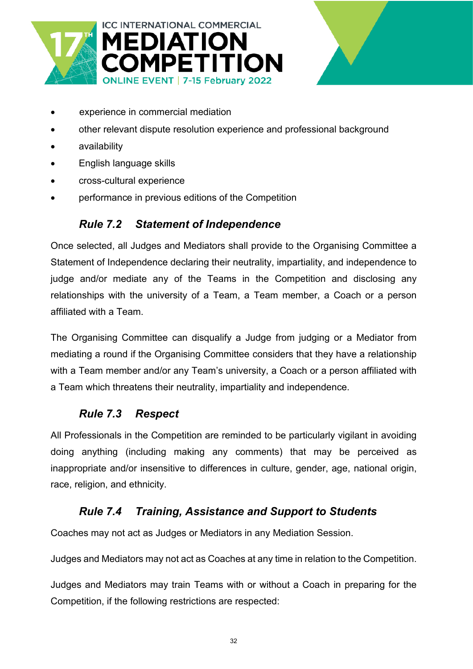![](_page_31_Picture_0.jpeg)

![](_page_31_Picture_1.jpeg)

- experience in commercial mediation
- other relevant dispute resolution experience and professional background
- availability
- English language skills
- cross-cultural experience
- <span id="page-31-0"></span>• performance in previous editions of the Competition

#### *Rule 7.2 Statement of Independence*

Once selected, all Judges and Mediators shall provide to the Organising Committee a Statement of Independence declaring their neutrality, impartiality, and independence to judge and/or mediate any of the Teams in the Competition and disclosing any relationships with the university of a Team, a Team member, a Coach or a person affiliated with a Team.

The Organising Committee can disqualify a Judge from judging or a Mediator from mediating a round if the Organising Committee considers that they have a relationship with a Team member and/or any Team's university, a Coach or a person affiliated with a Team which threatens their neutrality, impartiality and independence.

#### <span id="page-31-1"></span>*Rule 7.3 Respect*

All Professionals in the Competition are reminded to be particularly vigilant in avoiding doing anything (including making any comments) that may be perceived as inappropriate and/or insensitive to differences in culture, gender, age, national origin, race, religion, and ethnicity.

#### <span id="page-31-2"></span>*Rule 7.4 Training, Assistance and Support to Students*

Coaches may not act as Judges or Mediators in any Mediation Session.

Judges and Mediators may not act as Coaches at any time in relation to the Competition.

Judges and Mediators may train Teams with or without a Coach in preparing for the Competition, if the following restrictions are respected: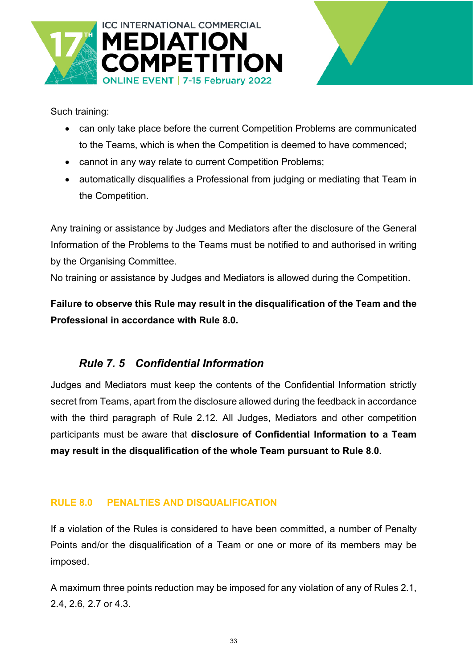![](_page_32_Picture_0.jpeg)

![](_page_32_Picture_1.jpeg)

Such training:

- can only take place before the current Competition Problems are communicated to the Teams, which is when the Competition is deemed to have commenced;
- cannot in any way relate to current Competition Problems;
- automatically disqualifies a Professional from judging or mediating that Team in the Competition.

Any training or assistance by Judges and Mediators after the disclosure of the General Information of the Problems to the Teams must be notified to and authorised in writing by the Organising Committee.

No training or assistance by Judges and Mediators is allowed during the Competition.

**Failure to observe this Rule may result in the disqualification of the Team and the Professional in accordance with Rule 8.0.** 

# <span id="page-32-0"></span>*Rule 7. 5 Confidential Information*

Judges and Mediators must keep the contents of the Confidential Information strictly secret from Teams, apart from the disclosure allowed during the feedback in accordance with the third paragraph of Rule 2.12. All Judges, Mediators and other competition participants must be aware that **disclosure of Confidential Information to a Team may result in the disqualification of the whole Team pursuant to Rule 8.0.**

#### <span id="page-32-1"></span>**RULE 8.0 PENALTIES AND DISQUALIFICATION**

If a violation of the Rules is considered to have been committed, a number of Penalty Points and/or the disqualification of a Team or one or more of its members may be imposed.

A maximum three points reduction may be imposed for any violation of any of Rules 2.1, 2.4, 2.6, 2.7 or 4.3.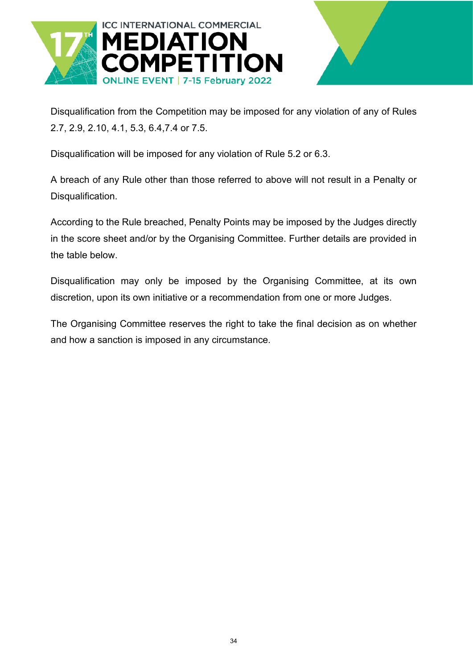![](_page_33_Picture_0.jpeg)

![](_page_33_Picture_1.jpeg)

Disqualification from the Competition may be imposed for any violation of any of Rules 2.7, 2.9, 2.10, 4.1, 5.3, 6.4,7.4 or 7.5.

Disqualification will be imposed for any violation of Rule 5.2 or 6.3.

A breach of any Rule other than those referred to above will not result in a Penalty or Disqualification.

According to the Rule breached, Penalty Points may be imposed by the Judges directly in the score sheet and/or by the Organising Committee. Further details are provided in the table below.

Disqualification may only be imposed by the Organising Committee, at its own discretion, upon its own initiative or a recommendation from one or more Judges.

The Organising Committee reserves the right to take the final decision as on whether and how a sanction is imposed in any circumstance.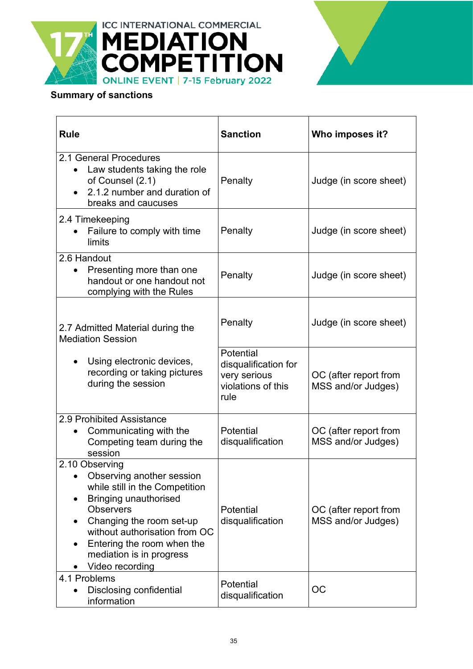![](_page_34_Picture_0.jpeg)

![](_page_34_Picture_1.jpeg)

### **Summary of sanctions**

| <b>Rule</b>                                                                                                                                                                                                                                                                                           | <b>Sanction</b>                                                                 | Who imposes it?                             |
|-------------------------------------------------------------------------------------------------------------------------------------------------------------------------------------------------------------------------------------------------------------------------------------------------------|---------------------------------------------------------------------------------|---------------------------------------------|
| 2.1 General Procedures<br>Law students taking the role<br>of Counsel (2.1)<br>2.1.2 number and duration of<br>breaks and caucuses                                                                                                                                                                     | Penalty                                                                         | Judge (in score sheet)                      |
| 2.4 Timekeeping<br>Failure to comply with time<br>limits                                                                                                                                                                                                                                              | Penalty                                                                         | Judge (in score sheet)                      |
| 2.6 Handout<br>Presenting more than one<br>handout or one handout not<br>complying with the Rules                                                                                                                                                                                                     | Penalty                                                                         | Judge (in score sheet)                      |
| 2.7 Admitted Material during the<br><b>Mediation Session</b>                                                                                                                                                                                                                                          | Penalty                                                                         | Judge (in score sheet)                      |
| Using electronic devices,<br>$\bullet$<br>recording or taking pictures<br>during the session                                                                                                                                                                                                          | Potential<br>disqualification for<br>very serious<br>violations of this<br>rule | OC (after report from<br>MSS and/or Judges) |
| 2.9 Prohibited Assistance<br>Communicating with the<br>Competing team during the<br>session                                                                                                                                                                                                           | Potential<br>disqualification                                                   | OC (after report from<br>MSS and/or Judges) |
| 2.10 Observing<br>Observing another session<br>$\bullet$<br>while still in the Competition<br><b>Bringing unauthorised</b><br><b>Observers</b><br>Changing the room set-up<br>without authorisation from OC<br>Entering the room when the<br>$\bullet$<br>mediation is in progress<br>Video recording | Potential<br>disqualification                                                   | OC (after report from<br>MSS and/or Judges) |
| 4.1 Problems<br><b>Disclosing confidential</b><br>information                                                                                                                                                                                                                                         | Potential<br>disqualification                                                   | OC                                          |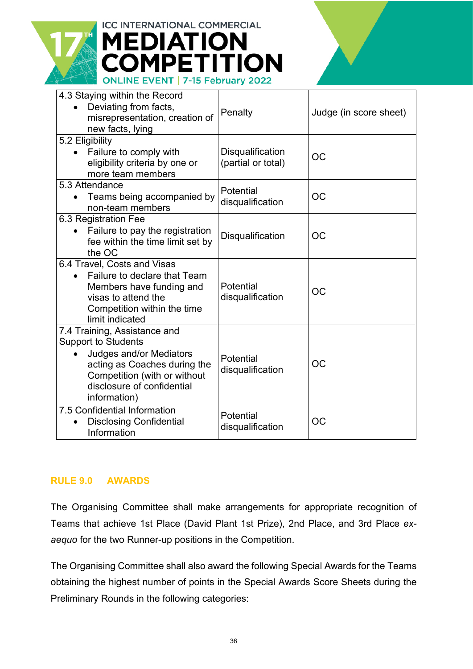![](_page_35_Picture_0.jpeg)

# **ICC INTERNATIONAL COMMERCIAL EDIATION MPETITION** ONLINE EVENT | 7-15 February 2022

| 4.3 Staying within the Record<br>Deviating from facts,<br>misrepresentation, creation of<br>new facts, lying                                                        | Penalty                                | Judge (in score sheet) |
|---------------------------------------------------------------------------------------------------------------------------------------------------------------------|----------------------------------------|------------------------|
| 5.2 Eligibility                                                                                                                                                     |                                        |                        |
| Failure to comply with<br>eligibility criteria by one or<br>more team members                                                                                       | Disqualification<br>(partial or total) | OC                     |
| 5.3 Attendance                                                                                                                                                      | Potential                              |                        |
| Teams being accompanied by<br>non-team members                                                                                                                      | disqualification                       | OC                     |
| 6.3 Registration Fee                                                                                                                                                |                                        |                        |
| Failure to pay the registration                                                                                                                                     | <b>Disqualification</b>                | OC                     |
| fee within the time limit set by<br>the OC                                                                                                                          |                                        |                        |
| 6.4 Travel, Costs and Visas                                                                                                                                         |                                        |                        |
| Failure to declare that Team<br>Members have funding and<br>visas to attend the<br>Competition within the time<br>limit indicated                                   | Potential<br>disqualification          | OC                     |
| 7.4 Training, Assistance and                                                                                                                                        |                                        |                        |
| <b>Support to Students</b><br>Judges and/or Mediators<br>acting as Coaches during the<br>Competition (with or without<br>disclosure of confidential<br>information) | Potential<br>disqualification          | OC                     |
| 7.5 Confidential Information<br><b>Disclosing Confidential</b><br>Information                                                                                       | Potential<br>disqualification          | OC                     |

#### <span id="page-35-0"></span>**RULE 9.0 AWARDS**

The Organising Committee shall make arrangements for appropriate recognition of Teams that achieve 1st Place (David Plant 1st Prize), 2nd Place, and 3rd Place *exaequo* for the two Runner-up positions in the Competition.

The Organising Committee shall also award the following Special Awards for the Teams obtaining the highest number of points in the Special Awards Score Sheets during the Preliminary Rounds in the following categories: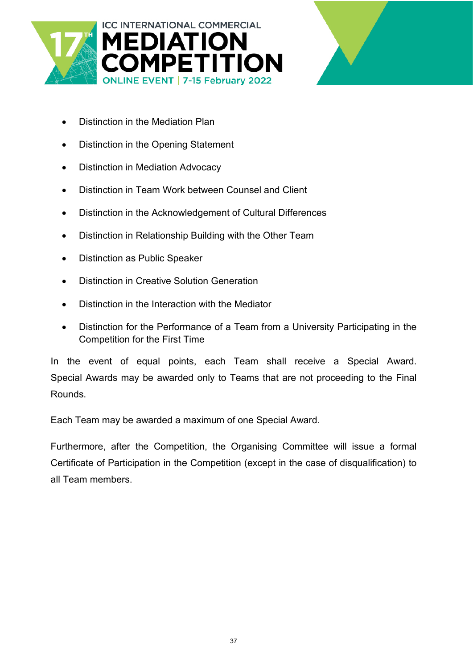![](_page_36_Picture_0.jpeg)

![](_page_36_Picture_1.jpeg)

- Distinction in the Mediation Plan
- Distinction in the Opening Statement
- Distinction in Mediation Advocacy
- Distinction in Team Work between Counsel and Client
- Distinction in the Acknowledgement of Cultural Differences
- Distinction in Relationship Building with the Other Team
- Distinction as Public Speaker
- Distinction in Creative Solution Generation
- Distinction in the Interaction with the Mediator
- Distinction for the Performance of a Team from a University Participating in the Competition for the First Time

In the event of equal points, each Team shall receive a Special Award. Special Awards may be awarded only to Teams that are not proceeding to the Final Rounds.

Each Team may be awarded a maximum of one Special Award.

Furthermore, after the Competition, the Organising Committee will issue a formal Certificate of Participation in the Competition (except in the case of disqualification) to all Team members.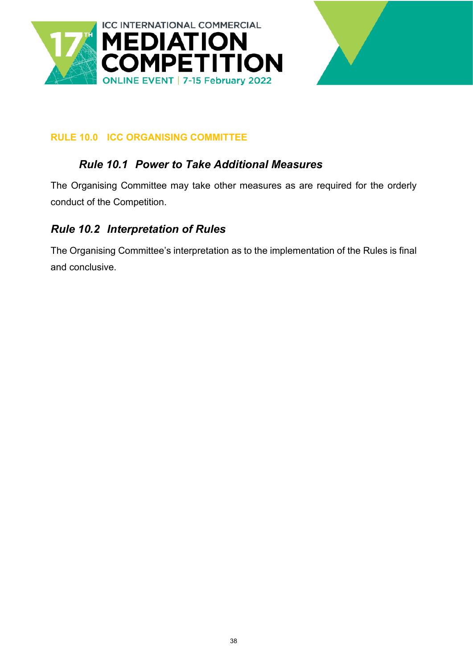![](_page_37_Picture_0.jpeg)

![](_page_37_Picture_1.jpeg)

#### <span id="page-37-1"></span><span id="page-37-0"></span>**RULE 10.0 ICC ORGANISING COMMITTEE**

### *Rule 10.1 Power to Take Additional Measures*

The Organising Committee may take other measures as are required for the orderly conduct of the Competition.

### <span id="page-37-2"></span>*Rule 10.2 Interpretation of Rules*

The Organising Committee's interpretation as to the implementation of the Rules is final and conclusive.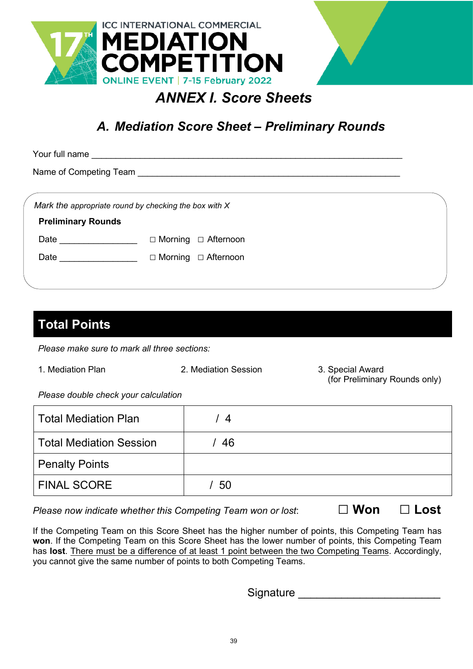![](_page_38_Picture_0.jpeg)

![](_page_38_Picture_1.jpeg)

# <span id="page-38-1"></span><span id="page-38-0"></span>*A. Mediation Score Sheet – Preliminary Rounds*

| Your full name                                                                                                  |                               |  |
|-----------------------------------------------------------------------------------------------------------------|-------------------------------|--|
|                                                                                                                 |                               |  |
| Mark the appropriate round by checking the box with $X$<br><b>Preliminary Rounds</b>                            |                               |  |
| Date and the state of the state of the state of the state of the state of the state of the state of the state o | □ Afternoon<br>$\Box$ Morning |  |
| Date                                                                                                            | □ Afternoon<br>$\Box$ Morning |  |
|                                                                                                                 |                               |  |

# **Total Points**

*Please make sure to mark all three sections:*

- 
- 1. Mediation Plan 2. Mediation Session 3. Special Award
- (for Preliminary Rounds only)

*Please double check your calculation*

| Total Mediation Plan    | -4 |  |
|-------------------------|----|--|
| Total Mediation Session | 46 |  |
| <b>Penalty Points</b>   |    |  |
| <b>FINAL SCORE</b>      | 50 |  |

*Please now indicate whether this Competing Team won or lost*: **□ Won □ Lost**

If the Competing Team on this Score Sheet has the higher number of points, this Competing Team has **won**. If the Competing Team on this Score Sheet has the lower number of points, this Competing Team has **lost**. There must be a difference of at least 1 point between the two Competing Teams. Accordingly, you cannot give the same number of points to both Competing Teams.

Signature **Executive**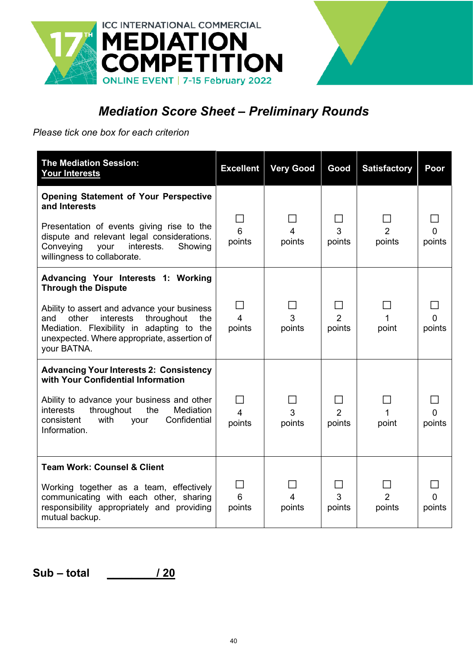![](_page_39_Picture_0.jpeg)

# *Mediation Score Sheet – Preliminary Rounds*

*Please tick one box for each criterion*

| <b>The Mediation Session:</b><br><b>Your Interests</b>                                                                                                                                                | <b>Excellent</b>                                     | <b>Very Good</b> | Good                     | <b>Satisfactory</b>      | Poor        |
|-------------------------------------------------------------------------------------------------------------------------------------------------------------------------------------------------------|------------------------------------------------------|------------------|--------------------------|--------------------------|-------------|
| <b>Opening Statement of Your Perspective</b><br>and Interests<br>Presentation of events giving rise to the<br>dispute and relevant legal considerations.                                              | 6                                                    | $\overline{4}$   | 3                        | $\overline{2}$           | 0           |
| Conveying<br>interests.<br>your<br>Showing<br>willingness to collaborate.                                                                                                                             | points                                               | points           | points                   | points                   | points      |
| Advancing Your Interests 1: Working<br><b>Through the Dispute</b>                                                                                                                                     |                                                      |                  |                          |                          |             |
| Ability to assert and advance your business<br>other interests<br>throughout<br>the<br>and<br>Mediation. Flexibility in adapting to the<br>unexpected. Where appropriate, assertion of<br>your BATNA. | $\overline{\phantom{a}}$<br>$\overline{4}$<br>points | 3<br>points      | $\overline{2}$<br>points | point                    | 0<br>points |
| <b>Advancing Your Interests 2: Consistency</b><br>with Your Confidential Information                                                                                                                  |                                                      |                  |                          |                          |             |
| Ability to advance your business and other<br>throughout<br>Mediation<br>interests<br>the<br>Confidential<br>consistent<br>with<br>your<br>Information.                                               | $\overline{4}$<br>points                             | 3<br>points      | $\overline{2}$<br>points | 1<br>point               | 0<br>points |
| <b>Team Work: Counsel &amp; Client</b>                                                                                                                                                                |                                                      |                  |                          |                          |             |
| Working together as a team, effectively<br>communicating with each other, sharing<br>responsibility appropriately and providing<br>mutual backup.                                                     | 6<br>points                                          | 4<br>points      | 3<br>points              | $\overline{2}$<br>points | points      |

**Sub – total \_\_\_\_\_\_\_\_/ 20**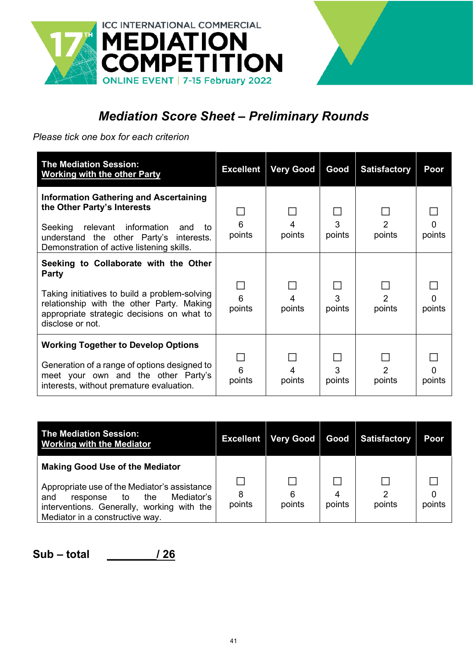![](_page_40_Picture_0.jpeg)

![](_page_40_Picture_1.jpeg)

# *Mediation Score Sheet – Preliminary Rounds*

*Please tick one box for each criterion*

| <b>The Mediation Session:</b><br><b>Working with the other Party</b>                                                                                                                                                 | <b>Excellent</b> | <b>Very Good</b> | Good        | <b>Satisfactory</b>      | Poor        |
|----------------------------------------------------------------------------------------------------------------------------------------------------------------------------------------------------------------------|------------------|------------------|-------------|--------------------------|-------------|
| <b>Information Gathering and Ascertaining</b><br>the Other Party's Interests<br>Seeking<br>relevant information<br>and<br>to<br>understand the other Party's interests.<br>Demonstration of active listening skills. | 6<br>points      | 4<br>points      | 3<br>points | 2<br>points              | points      |
| Seeking to Collaborate with the Other<br>Party<br>Taking initiatives to build a problem-solving<br>relationship with the other Party. Making<br>appropriate strategic decisions on what to<br>disclose or not.       | 6<br>points      | 4<br>points      | 3<br>points | $\overline{2}$<br>points | 0<br>points |
| <b>Working Together to Develop Options</b><br>Generation of a range of options designed to<br>meet your own and the other Party's<br>interests, without premature evaluation.                                        | 6<br>points      | 4<br>points      | 3<br>points | $\mathcal{P}$<br>points  | O<br>points |

| <b>The Mediation Session:</b><br><b>Working with the Mediator</b>                                                                                                                                                  | <b>Excellent</b> | Very Good   | Good   | <b>Satisfactory</b> | Poor   |
|--------------------------------------------------------------------------------------------------------------------------------------------------------------------------------------------------------------------|------------------|-------------|--------|---------------------|--------|
| <b>Making Good Use of the Mediator</b><br>Appropriate use of the Mediator's assistance<br>Mediator's<br>and<br>the<br>response to<br>interventions. Generally, working with the<br>Mediator in a constructive way. | 8<br>points      | 6<br>points | points | points              | points |

**Sub – total \_\_\_\_\_\_\_\_/ 26**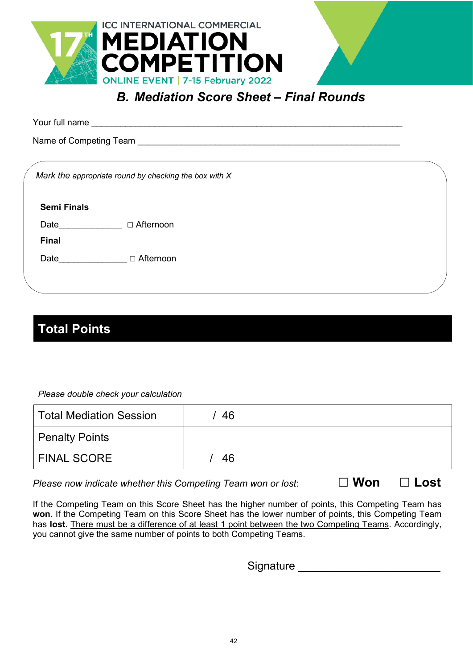![](_page_41_Picture_0.jpeg)

# <span id="page-41-0"></span>*B. Mediation Score Sheet – Final Rounds*

Your full name \_\_\_\_\_\_\_\_\_\_\_\_\_\_\_\_\_\_\_\_\_\_\_\_\_\_\_\_\_\_\_\_\_\_\_\_\_\_\_\_\_\_\_\_\_\_\_\_\_\_\_\_\_\_\_\_\_\_\_\_\_\_\_\_

Name of Competing Team **Example 20** and the control of  $\sim$ 

*Mark the appropriate round by checking the box with X*

**Semi Finals**

Date\_\_\_\_\_\_\_\_\_\_\_\_\_\_\_ □ Afternoon

**Final**

Date □ △ Afternoon

# **Total Points**

*Please double check your calculation*

| Total Mediation Session | 46 |
|-------------------------|----|
| Penalty Points          |    |
| <b>FINAL SCORE</b>      | 46 |

*Please now indicate whether this Competing Team won or lost*: **□ Won □ Lost**

If the Competing Team on this Score Sheet has the higher number of points, this Competing Team has **won**. If the Competing Team on this Score Sheet has the lower number of points, this Competing Team has **lost**. There must be a difference of at least 1 point between the two Competing Teams. Accordingly, you cannot give the same number of points to both Competing Teams.

Signature \_\_\_\_\_\_\_\_\_\_\_\_\_\_\_\_\_\_\_\_\_\_\_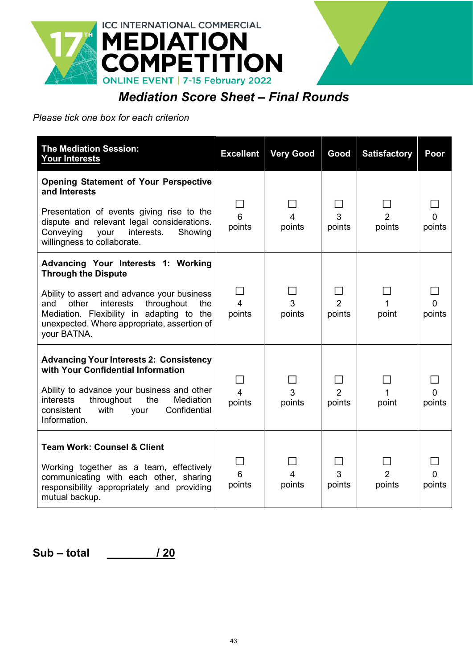![](_page_42_Picture_0.jpeg)

# *Mediation Score Sheet – Final Rounds*

#### *Please tick one box for each criterion*

| <b>The Mediation Session:</b><br><b>Your Interests</b>                                                                                                                                                                                                                        | <b>Excellent</b>                           | <b>Very Good</b>         | Good                     | <b>Satisfactory</b>      | Poor        |
|-------------------------------------------------------------------------------------------------------------------------------------------------------------------------------------------------------------------------------------------------------------------------------|--------------------------------------------|--------------------------|--------------------------|--------------------------|-------------|
| <b>Opening Statement of Your Perspective</b><br>and Interests<br>Presentation of events giving rise to the<br>dispute and relevant legal considerations.<br>Conveying<br>interests.<br>your<br>Showing<br>willingness to collaborate.                                         | 6<br>points                                | $\overline{4}$<br>points | 3<br>points              | $\overline{2}$<br>points | 0<br>points |
| Advancing Your Interests 1: Working<br><b>Through the Dispute</b><br>Ability to assert and advance your business<br>interests<br>throughout<br>other<br>the<br>and<br>Mediation. Flexibility in adapting to the<br>unexpected. Where appropriate, assertion of<br>your BATNA. | $\blacksquare$<br>$\overline{4}$<br>points | 3<br>points              | $\overline{2}$<br>points | 1<br>point               | 0<br>points |
| <b>Advancing Your Interests 2: Consistency</b><br>with Your Confidential Information<br>Ability to advance your business and other<br>throughout<br>the<br>Mediation<br>interests<br>consistent<br>with<br>Confidential<br>your<br>Information.                               | $\overline{4}$<br>points                   | 3<br>points              | $\overline{2}$<br>points | 1<br>point               | 0<br>points |
| <b>Team Work: Counsel &amp; Client</b><br>Working together as a team, effectively<br>communicating with each other, sharing<br>responsibility appropriately and providing<br>mutual backup.                                                                                   | 6<br>points                                | 4<br>points              | 3<br>points              | $\overline{2}$<br>points | 0<br>points |

**Sub – total \_\_\_\_\_\_\_\_/ 20**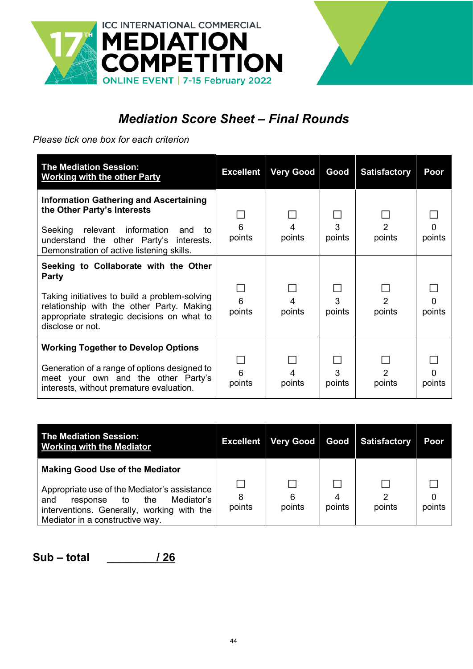![](_page_43_Picture_0.jpeg)

![](_page_43_Picture_1.jpeg)

# *Mediation Score Sheet – Final Rounds*

*Please tick one box for each criterion*

| <b>The Mediation Session:</b><br><b>Working with the other Party</b>                                                                                                                                                 | <b>Excellent</b> | <b>Very Good</b> | Good        | <b>Satisfactory</b>      | Poor               |
|----------------------------------------------------------------------------------------------------------------------------------------------------------------------------------------------------------------------|------------------|------------------|-------------|--------------------------|--------------------|
| <b>Information Gathering and Ascertaining</b><br>the Other Party's Interests<br>Seeking<br>relevant information<br>and<br>to<br>understand the other Party's interests.<br>Demonstration of active listening skills. | 6<br>points      | points           | 3<br>points | $\mathcal{P}$<br>points  | points             |
| Seeking to Collaborate with the Other<br>Party<br>Taking initiatives to build a problem-solving<br>relationship with the other Party. Making<br>appropriate strategic decisions on what to<br>disclose or not.       | 6<br>points      | 4<br>points      | 3<br>points | $\overline{2}$<br>points | $\Omega$<br>points |
| <b>Working Together to Develop Options</b><br>Generation of a range of options designed to<br>meet your own and the other Party's<br>interests, without premature evaluation.                                        | 6<br>points      | points           | 3<br>points | $\mathcal{P}$<br>points  | O<br>points        |

| <b>The Mediation Session:</b><br><b>Working with the Mediator</b>                                                                                                                                               | <b>Excellent</b> | <b>Very Good</b> | Good   | <b>Satisfactory</b> | Poor   |
|-----------------------------------------------------------------------------------------------------------------------------------------------------------------------------------------------------------------|------------------|------------------|--------|---------------------|--------|
| <b>Making Good Use of the Mediator</b><br>Appropriate use of the Mediator's assistance<br>Mediator's<br>response to the<br>and<br>interventions. Generally, working with the<br>Mediator in a constructive way. | 8<br>points      | 6<br>points      | points | っ<br>points         | points |

**Sub – total \_\_\_\_\_\_\_\_/ 26**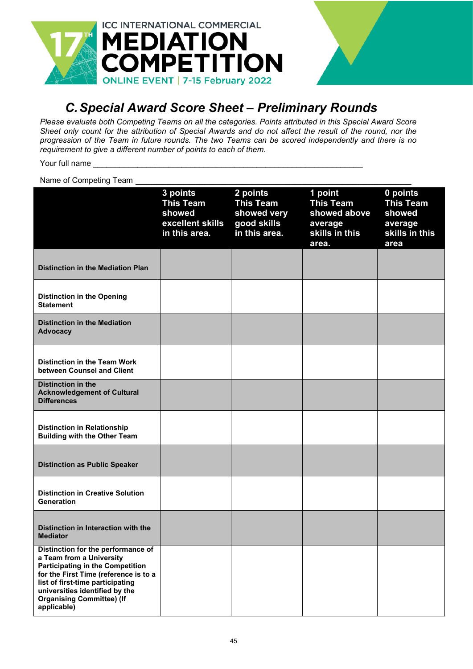![](_page_44_Picture_0.jpeg)

# <span id="page-44-0"></span>*C.Special Award Score Sheet – Preliminary Rounds*

*Please evaluate both Competing Teams on all the categories. Points attributed in this Special Award Score Sheet only count for the attribution of Special Awards and do not affect the result of the round, nor the progression of the Team in future rounds. The two Teams can be scored independently and there is no requirement to give a different number of points to each of them.*

Your full name

Name of Competing Team

|                                                                                                                                                                                                                                                                             | 3 points<br><b>This Team</b><br>showed<br>excellent skills<br>in this area. | 2 points<br><b>This Team</b><br>showed very<br>good skills<br>in this area. | 1 point<br><b>This Team</b><br>showed above<br>average<br>skills in this<br>area. | 0 points<br><b>This Team</b><br>showed<br>average<br>skills in this<br>area |
|-----------------------------------------------------------------------------------------------------------------------------------------------------------------------------------------------------------------------------------------------------------------------------|-----------------------------------------------------------------------------|-----------------------------------------------------------------------------|-----------------------------------------------------------------------------------|-----------------------------------------------------------------------------|
| <b>Distinction in the Mediation Plan</b>                                                                                                                                                                                                                                    |                                                                             |                                                                             |                                                                                   |                                                                             |
| <b>Distinction in the Opening</b><br><b>Statement</b>                                                                                                                                                                                                                       |                                                                             |                                                                             |                                                                                   |                                                                             |
| <b>Distinction in the Mediation</b><br><b>Advocacy</b>                                                                                                                                                                                                                      |                                                                             |                                                                             |                                                                                   |                                                                             |
| <b>Distinction in the Team Work</b><br>between Counsel and Client                                                                                                                                                                                                           |                                                                             |                                                                             |                                                                                   |                                                                             |
| <b>Distinction in the</b><br><b>Acknowledgement of Cultural</b><br><b>Differences</b>                                                                                                                                                                                       |                                                                             |                                                                             |                                                                                   |                                                                             |
| <b>Distinction in Relationship</b><br><b>Building with the Other Team</b>                                                                                                                                                                                                   |                                                                             |                                                                             |                                                                                   |                                                                             |
| <b>Distinction as Public Speaker</b>                                                                                                                                                                                                                                        |                                                                             |                                                                             |                                                                                   |                                                                             |
| <b>Distinction in Creative Solution</b><br>Generation                                                                                                                                                                                                                       |                                                                             |                                                                             |                                                                                   |                                                                             |
| Distinction in Interaction with the<br><b>Mediator</b>                                                                                                                                                                                                                      |                                                                             |                                                                             |                                                                                   |                                                                             |
| Distinction for the performance of<br>a Team from a University<br><b>Participating in the Competition</b><br>for the First Time (reference is to a<br>list of first-time participating<br>universities identified by the<br><b>Organising Committee) (If</b><br>applicable) |                                                                             |                                                                             |                                                                                   |                                                                             |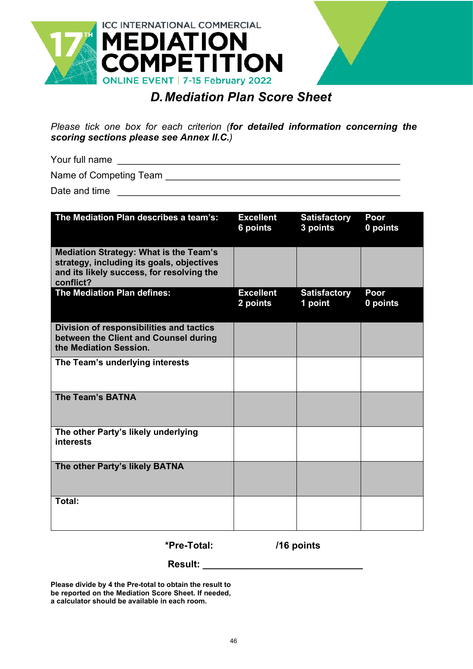![](_page_45_Picture_0.jpeg)

![](_page_45_Picture_1.jpeg)

# *D.Mediation Plan Score Sheet*

<span id="page-45-0"></span>*Please tick one box for each criterion (for detailed information concerning the scoring sections please see Annex II.C.)*

Your full name \_\_\_\_\_\_\_\_\_\_\_\_\_\_\_\_\_\_\_\_\_\_\_\_\_\_\_\_\_\_\_\_\_\_\_\_\_\_\_\_\_\_\_\_\_\_\_\_\_\_\_\_\_

Name of Competing Team \_\_\_\_\_\_\_\_\_\_\_\_\_\_\_\_\_\_\_\_\_\_\_\_\_\_\_\_\_\_\_\_\_\_\_\_\_\_\_\_\_\_\_\_

Date and time \_\_\_\_\_\_\_\_\_\_\_\_\_\_\_\_\_\_\_\_\_\_\_\_\_\_\_\_\_\_\_\_\_\_\_\_\_\_\_\_\_\_\_\_\_\_\_\_\_\_\_\_\_

| The Mediation Plan describes a team's:                                                                                                               | <b>Excellent</b><br>6 points | <b>Satisfactory</b><br>3 points | Poor<br>0 points |
|------------------------------------------------------------------------------------------------------------------------------------------------------|------------------------------|---------------------------------|------------------|
| <b>Mediation Strategy: What is the Team's</b><br>strategy, including its goals, objectives<br>and its likely success, for resolving the<br>conflict? |                              |                                 |                  |
| The Mediation Plan defines:                                                                                                                          | <b>Excellent</b><br>2 points | <b>Satisfactory</b><br>1 point  | Poor<br>0 points |
| Division of responsibilities and tactics<br>between the Client and Counsel during<br>the Mediation Session.                                          |                              |                                 |                  |
| The Team's underlying interests                                                                                                                      |                              |                                 |                  |
| <b>The Team's BATNA</b>                                                                                                                              |                              |                                 |                  |
| The other Party's likely underlying<br>interests                                                                                                     |                              |                                 |                  |
| The other Party's likely BATNA                                                                                                                       |                              |                                 |                  |
| Total:                                                                                                                                               |                              |                                 |                  |

**\*Pre-Total: /16 points**

**Result: \_\_\_\_\_\_\_\_\_\_\_\_\_\_\_\_\_\_\_\_\_\_\_\_\_\_\_\_\_\_**

**Please divide by 4 the Pre-total to obtain the result to be reported on the Mediation Score Sheet. If needed, a calculator should be available in each room.**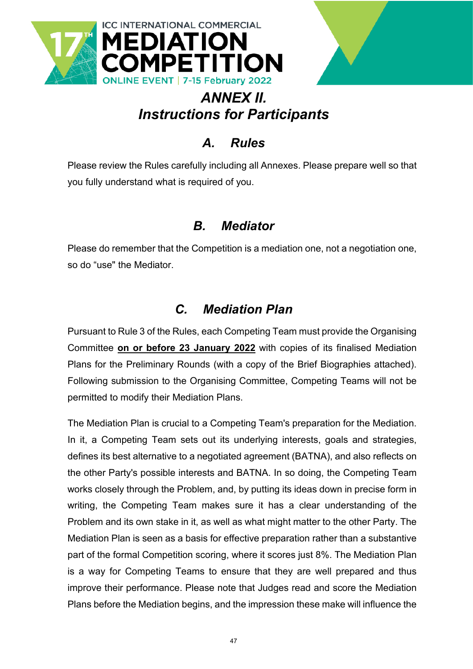![](_page_46_Picture_0.jpeg)

![](_page_46_Picture_1.jpeg)

# *ANNEX II. Instructions for Participants*

# *A. Rules*

<span id="page-46-1"></span><span id="page-46-0"></span>Please review the Rules carefully including all Annexes. Please prepare well so that you fully understand what is required of you.

# *B. Mediator*

<span id="page-46-2"></span>Please do remember that the Competition is a mediation one, not a negotiation one, so do "use" the Mediator.

# *C. Mediation Plan*

<span id="page-46-3"></span>Pursuant to Rule 3 of the Rules, each Competing Team must provide the Organising Committee **on or before 23 January 2022** with copies of its finalised Mediation Plans for the Preliminary Rounds (with a copy of the Brief Biographies attached). Following submission to the Organising Committee, Competing Teams will not be permitted to modify their Mediation Plans.

The Mediation Plan is crucial to a Competing Team's preparation for the Mediation. In it, a Competing Team sets out its underlying interests, goals and strategies, defines its best alternative to a negotiated agreement (BATNA), and also reflects on the other Party's possible interests and BATNA. In so doing, the Competing Team works closely through the Problem, and, by putting its ideas down in precise form in writing, the Competing Team makes sure it has a clear understanding of the Problem and its own stake in it, as well as what might matter to the other Party. The Mediation Plan is seen as a basis for effective preparation rather than a substantive part of the formal Competition scoring, where it scores just 8%. The Mediation Plan is a way for Competing Teams to ensure that they are well prepared and thus improve their performance. Please note that Judges read and score the Mediation Plans before the Mediation begins, and the impression these make will influence the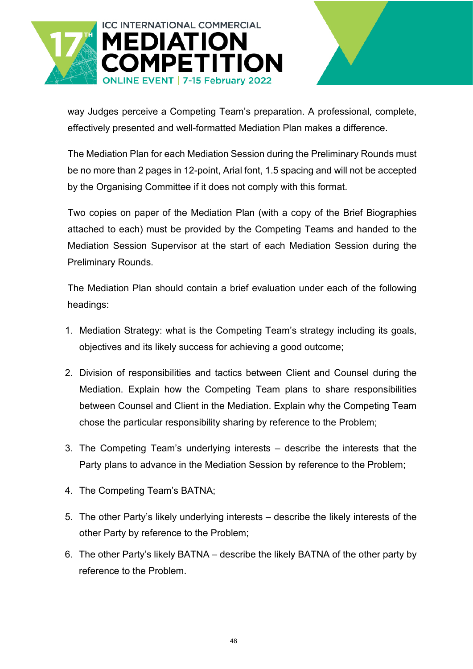![](_page_47_Picture_0.jpeg)

way Judges perceive a Competing Team's preparation. A professional, complete, effectively presented and well-formatted Mediation Plan makes a difference.

The Mediation Plan for each Mediation Session during the Preliminary Rounds must be no more than 2 pages in 12-point, Arial font, 1.5 spacing and will not be accepted by the Organising Committee if it does not comply with this format.

Two copies on paper of the Mediation Plan (with a copy of the Brief Biographies attached to each) must be provided by the Competing Teams and handed to the Mediation Session Supervisor at the start of each Mediation Session during the Preliminary Rounds.

The Mediation Plan should contain a brief evaluation under each of the following headings:

- 1. Mediation Strategy: what is the Competing Team's strategy including its goals, objectives and its likely success for achieving a good outcome;
- 2. Division of responsibilities and tactics between Client and Counsel during the Mediation. Explain how the Competing Team plans to share responsibilities between Counsel and Client in the Mediation. Explain why the Competing Team chose the particular responsibility sharing by reference to the Problem;
- 3. The Competing Team's underlying interests describe the interests that the Party plans to advance in the Mediation Session by reference to the Problem;
- 4. The Competing Team's BATNA;
- 5. The other Party's likely underlying interests describe the likely interests of the other Party by reference to the Problem;
- 6. The other Party's likely BATNA describe the likely BATNA of the other party by reference to the Problem.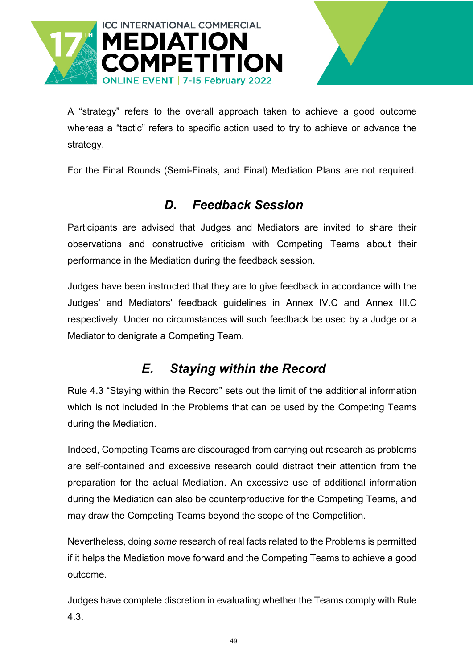![](_page_48_Picture_0.jpeg)

A "strategy" refers to the overall approach taken to achieve a good outcome whereas a "tactic" refers to specific action used to try to achieve or advance the strategy.

For the Final Rounds (Semi-Finals, and Final) Mediation Plans are not required.

# *D. Feedback Session*

<span id="page-48-0"></span>Participants are advised that Judges and Mediators are invited to share their observations and constructive criticism with Competing Teams about their performance in the Mediation during the feedback session.

Judges have been instructed that they are to give feedback in accordance with the Judges' and Mediators' feedback guidelines in Annex IV.C and Annex III.C respectively. Under no circumstances will such feedback be used by a Judge or a Mediator to denigrate a Competing Team.

# *E. Staying within the Record*

<span id="page-48-1"></span>Rule 4.3 "Staying within the Record" sets out the limit of the additional information which is not included in the Problems that can be used by the Competing Teams during the Mediation.

Indeed, Competing Teams are discouraged from carrying out research as problems are self-contained and excessive research could distract their attention from the preparation for the actual Mediation. An excessive use of additional information during the Mediation can also be counterproductive for the Competing Teams, and may draw the Competing Teams beyond the scope of the Competition.

Nevertheless, doing *some* research of real facts related to the Problems is permitted if it helps the Mediation move forward and the Competing Teams to achieve a good outcome.

Judges have complete discretion in evaluating whether the Teams comply with Rule 4.3.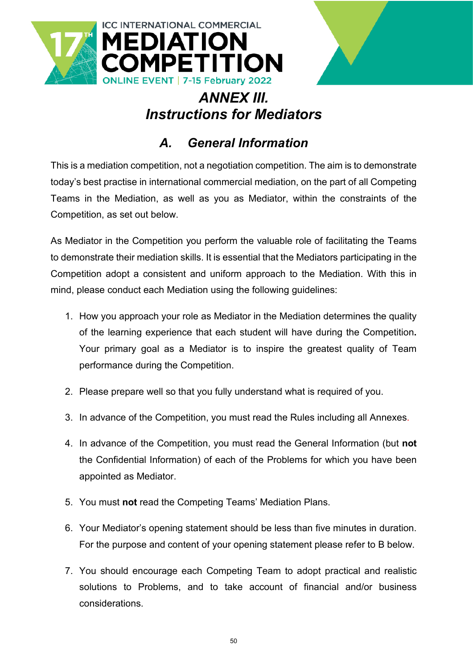![](_page_49_Picture_0.jpeg)

![](_page_49_Picture_1.jpeg)

# *ANNEX III. Instructions for Mediators*

# *A. General Information*

<span id="page-49-1"></span><span id="page-49-0"></span>This is a mediation competition, not a negotiation competition. The aim is to demonstrate today's best practise in international commercial mediation, on the part of all Competing Teams in the Mediation, as well as you as Mediator, within the constraints of the Competition, as set out below.

As Mediator in the Competition you perform the valuable role of facilitating the Teams to demonstrate their mediation skills. It is essential that the Mediators participating in the Competition adopt a consistent and uniform approach to the Mediation. With this in mind, please conduct each Mediation using the following guidelines:

- 1. How you approach your role as Mediator in the Mediation determines the quality of the learning experience that each student will have during the Competition**.** Your primary goal as a Mediator is to inspire the greatest quality of Team performance during the Competition.
- 2. Please prepare well so that you fully understand what is required of you.
- 3. In advance of the Competition, you must read the Rules including all Annexes.
- 4. In advance of the Competition, you must read the General Information (but **not**  the Confidential Information) of each of the Problems for which you have been appointed as Mediator.
- 5. You must **not** read the Competing Teams' Mediation Plans.
- 6. Your Mediator's opening statement should be less than five minutes in duration. For the purpose and content of your opening statement please refer to B below.
- 7. You should encourage each Competing Team to adopt practical and realistic solutions to Problems, and to take account of financial and/or business considerations.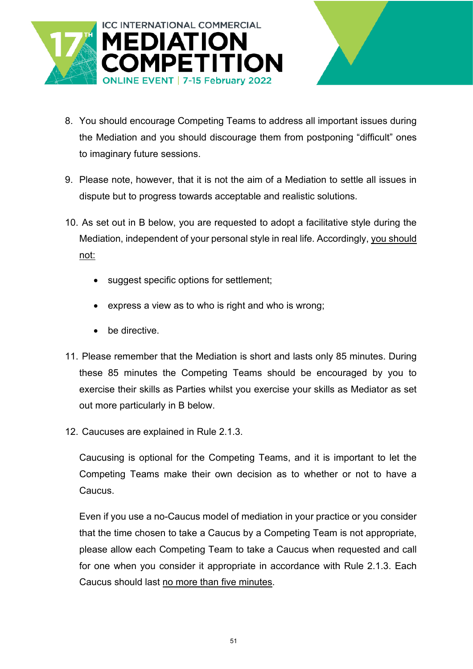![](_page_50_Picture_0.jpeg)

![](_page_50_Picture_1.jpeg)

- 8. You should encourage Competing Teams to address all important issues during the Mediation and you should discourage them from postponing "difficult" ones to imaginary future sessions.
- 9. Please note, however, that it is not the aim of a Mediation to settle all issues in dispute but to progress towards acceptable and realistic solutions.
- 10. As set out in B below, you are requested to adopt a facilitative style during the Mediation, independent of your personal style in real life. Accordingly, you should not:
	- suggest specific options for settlement;
	- express a view as to who is right and who is wrong;
	- be directive.
- 11. Please remember that the Mediation is short and lasts only 85 minutes. During these 85 minutes the Competing Teams should be encouraged by you to exercise their skills as Parties whilst you exercise your skills as Mediator as set out more particularly in B below.
- 12. Caucuses are explained in Rule 2.1.3.

Caucusing is optional for the Competing Teams, and it is important to let the Competing Teams make their own decision as to whether or not to have a Caucus.

Even if you use a no-Caucus model of mediation in your practice or you consider that the time chosen to take a Caucus by a Competing Team is not appropriate, please allow each Competing Team to take a Caucus when requested and call for one when you consider it appropriate in accordance with Rule 2.1.3. Each Caucus should last no more than five minutes.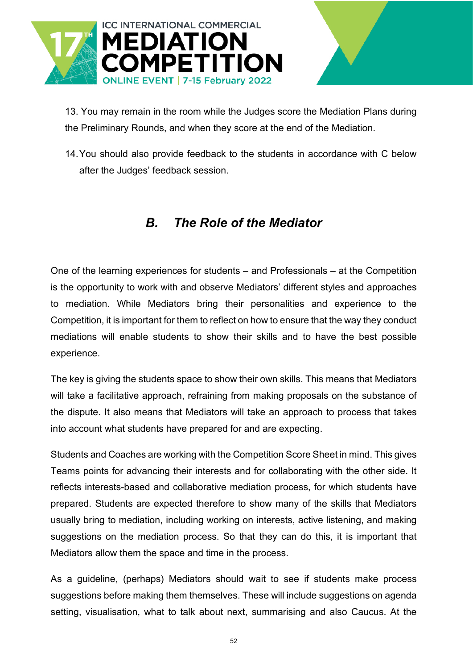![](_page_51_Picture_0.jpeg)

13. You may remain in the room while the Judges score the Mediation Plans during the Preliminary Rounds, and when they score at the end of the Mediation.

14.You should also provide feedback to the students in accordance with C below after the Judges' feedback session.

# *B. The Role of the Mediator*

<span id="page-51-0"></span>One of the learning experiences for students – and Professionals – at the Competition is the opportunity to work with and observe Mediators' different styles and approaches to mediation. While Mediators bring their personalities and experience to the Competition, it is important for them to reflect on how to ensure that the way they conduct mediations will enable students to show their skills and to have the best possible experience.

The key is giving the students space to show their own skills. This means that Mediators will take a facilitative approach, refraining from making proposals on the substance of the dispute. It also means that Mediators will take an approach to process that takes into account what students have prepared for and are expecting.

Students and Coaches are working with the Competition Score Sheet in mind. This gives Teams points for advancing their interests and for collaborating with the other side. It reflects interests-based and collaborative mediation process, for which students have prepared. Students are expected therefore to show many of the skills that Mediators usually bring to mediation, including working on interests, active listening, and making suggestions on the mediation process. So that they can do this, it is important that Mediators allow them the space and time in the process.

As a guideline, (perhaps) Mediators should wait to see if students make process suggestions before making them themselves. These will include suggestions on agenda setting, visualisation, what to talk about next, summarising and also Caucus. At the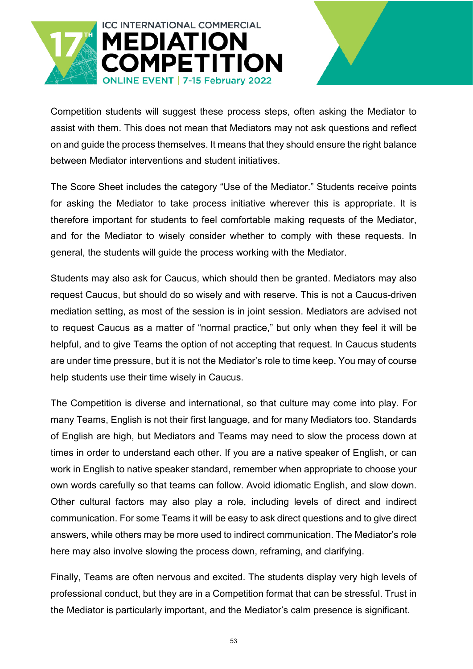![](_page_52_Picture_0.jpeg)

Competition students will suggest these process steps, often asking the Mediator to assist with them. This does not mean that Mediators may not ask questions and reflect on and guide the process themselves. It means that they should ensure the right balance between Mediator interventions and student initiatives.

The Score Sheet includes the category "Use of the Mediator." Students receive points for asking the Mediator to take process initiative wherever this is appropriate. It is therefore important for students to feel comfortable making requests of the Mediator, and for the Mediator to wisely consider whether to comply with these requests. In general, the students will guide the process working with the Mediator.

Students may also ask for Caucus, which should then be granted. Mediators may also request Caucus, but should do so wisely and with reserve. This is not a Caucus-driven mediation setting, as most of the session is in joint session. Mediators are advised not to request Caucus as a matter of "normal practice," but only when they feel it will be helpful, and to give Teams the option of not accepting that request. In Caucus students are under time pressure, but it is not the Mediator's role to time keep. You may of course help students use their time wisely in Caucus.

The Competition is diverse and international, so that culture may come into play. For many Teams, English is not their first language, and for many Mediators too. Standards of English are high, but Mediators and Teams may need to slow the process down at times in order to understand each other. If you are a native speaker of English, or can work in English to native speaker standard, remember when appropriate to choose your own words carefully so that teams can follow. Avoid idiomatic English, and slow down. Other cultural factors may also play a role, including levels of direct and indirect communication. For some Teams it will be easy to ask direct questions and to give direct answers, while others may be more used to indirect communication. The Mediator's role here may also involve slowing the process down, reframing, and clarifying.

Finally, Teams are often nervous and excited. The students display very high levels of professional conduct, but they are in a Competition format that can be stressful. Trust in the Mediator is particularly important, and the Mediator's calm presence is significant.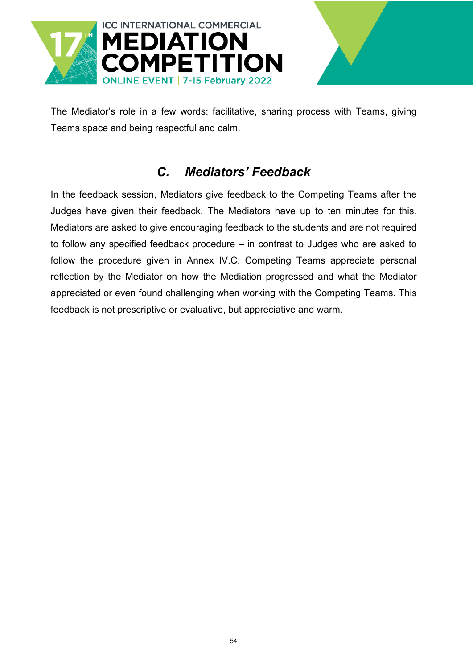![](_page_53_Picture_0.jpeg)

![](_page_53_Picture_1.jpeg)

The Mediator's role in a few words: facilitative, sharing process with Teams, giving Teams space and being respectful and calm.

# *C. Mediators' Feedback*

<span id="page-53-0"></span>In the feedback session, Mediators give feedback to the Competing Teams after the Judges have given their feedback. The Mediators have up to ten minutes for this. Mediators are asked to give encouraging feedback to the students and are not required to follow any specified feedback procedure – in contrast to Judges who are asked to follow the procedure given in Annex IV.C. Competing Teams appreciate personal reflection by the Mediator on how the Mediation progressed and what the Mediator appreciated or even found challenging when working with the Competing Teams. This feedback is not prescriptive or evaluative, but appreciative and warm.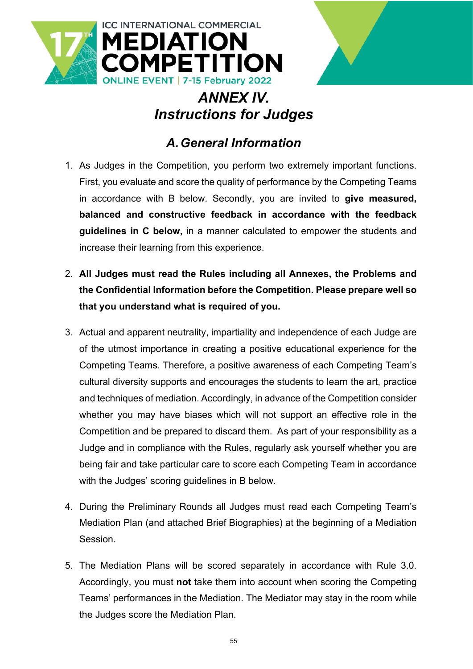![](_page_54_Picture_0.jpeg)

# *ANNEX IV. Instructions for Judges*

# *A.General Information*

- <span id="page-54-1"></span><span id="page-54-0"></span>1. As Judges in the Competition, you perform two extremely important functions. First, you evaluate and score the quality of performance by the Competing Teams in accordance with B below. Secondly, you are invited to **give measured, balanced and constructive feedback in accordance with the feedback guidelines in C below,** in a manner calculated to empower the students and increase their learning from this experience.
- 2. **All Judges must read the Rules including all Annexes, the Problems and the Confidential Information before the Competition. Please prepare well so that you understand what is required of you.**
- 3. Actual and apparent neutrality, impartiality and independence of each Judge are of the utmost importance in creating a positive educational experience for the Competing Teams. Therefore, a positive awareness of each Competing Team's cultural diversity supports and encourages the students to learn the art, practice and techniques of mediation. Accordingly, in advance of the Competition consider whether you may have biases which will not support an effective role in the Competition and be prepared to discard them. As part of your responsibility as a Judge and in compliance with the Rules, regularly ask yourself whether you are being fair and take particular care to score each Competing Team in accordance with the Judges' scoring guidelines in B below.
- 4. During the Preliminary Rounds all Judges must read each Competing Team's Mediation Plan (and attached Brief Biographies) at the beginning of a Mediation Session.
- 5. The Mediation Plans will be scored separately in accordance with Rule 3.0. Accordingly, you must **not** take them into account when scoring the Competing Teams' performances in the Mediation. The Mediator may stay in the room while the Judges score the Mediation Plan.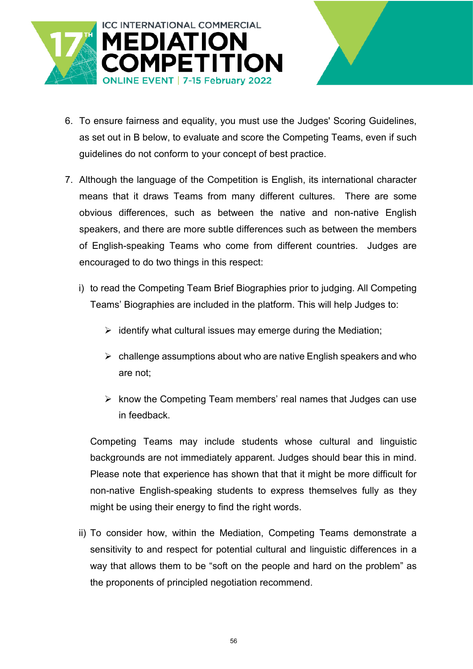![](_page_55_Picture_0.jpeg)

- 6. To ensure fairness and equality, you must use the Judges' Scoring Guidelines, as set out in B below, to evaluate and score the Competing Teams, even if such guidelines do not conform to your concept of best practice.
- 7. Although the language of the Competition is English, its international character means that it draws Teams from many different cultures. There are some obvious differences, such as between the native and non-native English speakers, and there are more subtle differences such as between the members of English-speaking Teams who come from different countries. Judges are encouraged to do two things in this respect:
	- i) to read the Competing Team Brief Biographies prior to judging. All Competing Teams' Biographies are included in the platform. This will help Judges to:
		- $\triangleright$  identify what cultural issues may emerge during the Mediation;
		- $\triangleright$  challenge assumptions about who are native English speakers and who are not;
		- $\triangleright$  know the Competing Team members' real names that Judges can use in feedback.

Competing Teams may include students whose cultural and linguistic backgrounds are not immediately apparent. Judges should bear this in mind. Please note that experience has shown that that it might be more difficult for non-native English-speaking students to express themselves fully as they might be using their energy to find the right words.

ii) To consider how, within the Mediation, Competing Teams demonstrate a sensitivity to and respect for potential cultural and linguistic differences in a way that allows them to be "soft on the people and hard on the problem" as the proponents of principled negotiation recommend.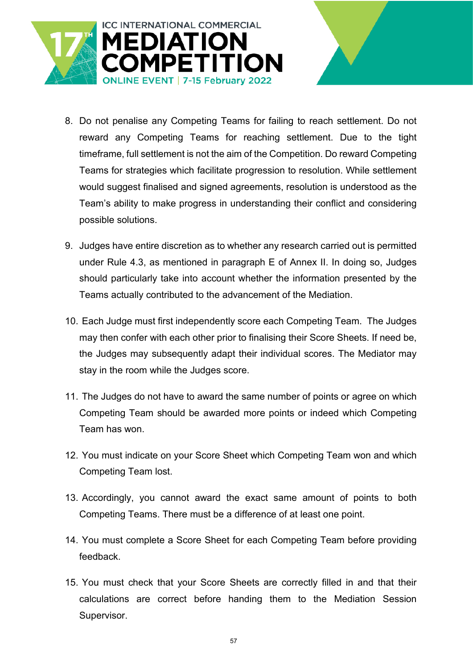![](_page_56_Picture_0.jpeg)

- 8. Do not penalise any Competing Teams for failing to reach settlement. Do not reward any Competing Teams for reaching settlement. Due to the tight timeframe, full settlement is not the aim of the Competition. Do reward Competing Teams for strategies which facilitate progression to resolution. While settlement would suggest finalised and signed agreements, resolution is understood as the Team's ability to make progress in understanding their conflict and considering possible solutions.
- 9. Judges have entire discretion as to whether any research carried out is permitted under Rule 4.3, as mentioned in paragraph E of Annex II. In doing so, Judges should particularly take into account whether the information presented by the Teams actually contributed to the advancement of the Mediation.
- 10. Each Judge must first independently score each Competing Team. The Judges may then confer with each other prior to finalising their Score Sheets. If need be, the Judges may subsequently adapt their individual scores. The Mediator may stay in the room while the Judges score.
- 11. The Judges do not have to award the same number of points or agree on which Competing Team should be awarded more points or indeed which Competing Team has won.
- 12. You must indicate on your Score Sheet which Competing Team won and which Competing Team lost.
- 13. Accordingly, you cannot award the exact same amount of points to both Competing Teams. There must be a difference of at least one point.
- 14. You must complete a Score Sheet for each Competing Team before providing feedback.
- 15. You must check that your Score Sheets are correctly filled in and that their calculations are correct before handing them to the Mediation Session Supervisor.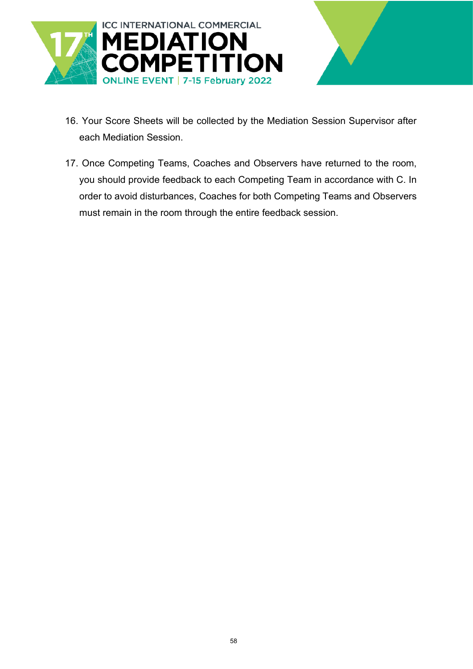![](_page_57_Picture_0.jpeg)

![](_page_57_Picture_1.jpeg)

- 16. Your Score Sheets will be collected by the Mediation Session Supervisor after each Mediation Session.
- 17. Once Competing Teams, Coaches and Observers have returned to the room, you should provide feedback to each Competing Team in accordance with C. In order to avoid disturbances, Coaches for both Competing Teams and Observers must remain in the room through the entire feedback session.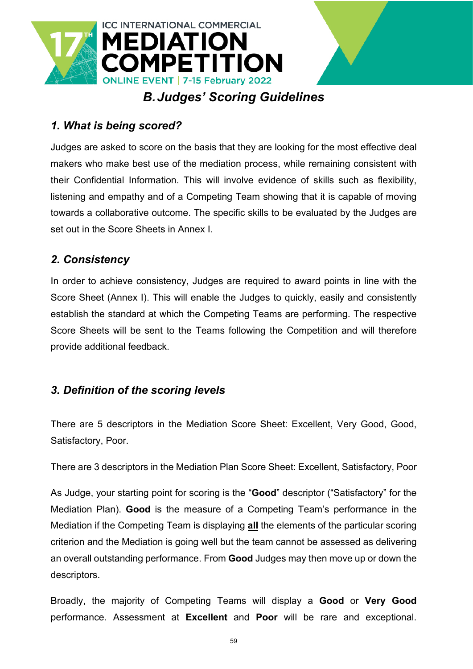![](_page_58_Picture_0.jpeg)

# *B.Judges' Scoring Guidelines*

### <span id="page-58-0"></span>*1. What is being scored?*

Judges are asked to score on the basis that they are looking for the most effective deal makers who make best use of the mediation process, while remaining consistent with their Confidential Information. This will involve evidence of skills such as flexibility, listening and empathy and of a Competing Team showing that it is capable of moving towards a collaborative outcome. The specific skills to be evaluated by the Judges are set out in the Score Sheets in Annex I.

#### *2. Consistency*

In order to achieve consistency, Judges are required to award points in line with the Score Sheet (Annex I). This will enable the Judges to quickly, easily and consistently establish the standard at which the Competing Teams are performing. The respective Score Sheets will be sent to the Teams following the Competition and will therefore provide additional feedback.

### *3. Definition of the scoring levels*

There are 5 descriptors in the Mediation Score Sheet: Excellent, Very Good, Good, Satisfactory, Poor.

There are 3 descriptors in the Mediation Plan Score Sheet: Excellent, Satisfactory, Poor

As Judge, your starting point for scoring is the "**Good**" descriptor ("Satisfactory" for the Mediation Plan). **Good** is the measure of a Competing Team's performance in the Mediation if the Competing Team is displaying **all** the elements of the particular scoring criterion and the Mediation is going well but the team cannot be assessed as delivering an overall outstanding performance. From **Good** Judges may then move up or down the descriptors.

Broadly, the majority of Competing Teams will display a **Good** or **Very Good** performance. Assessment at **Excellent** and **Poor** will be rare and exceptional.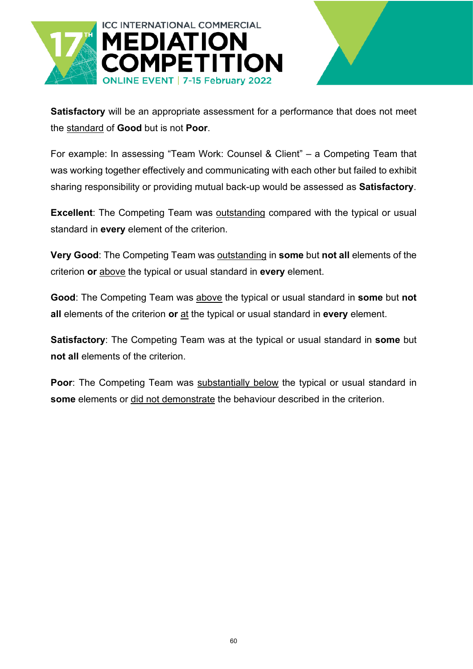![](_page_59_Picture_0.jpeg)

![](_page_59_Picture_1.jpeg)

**Satisfactory** will be an appropriate assessment for a performance that does not meet the standard of **Good** but is not **Poor**.

For example: In assessing "Team Work: Counsel & Client" – a Competing Team that was working together effectively and communicating with each other but failed to exhibit sharing responsibility or providing mutual back-up would be assessed as **Satisfactory**.

**Excellent**: The Competing Team was outstanding compared with the typical or usual standard in **every** element of the criterion.

**Very Good**: The Competing Team was outstanding in **some** but **not all** elements of the criterion **or** above the typical or usual standard in **every** element.

**Good**: The Competing Team was above the typical or usual standard in **some** but **not all** elements of the criterion **or** at the typical or usual standard in **every** element.

**Satisfactory**: The Competing Team was at the typical or usual standard in **some** but **not all** elements of the criterion.

**Poor**: The Competing Team was substantially below the typical or usual standard in **some** elements or did not demonstrate the behaviour described in the criterion.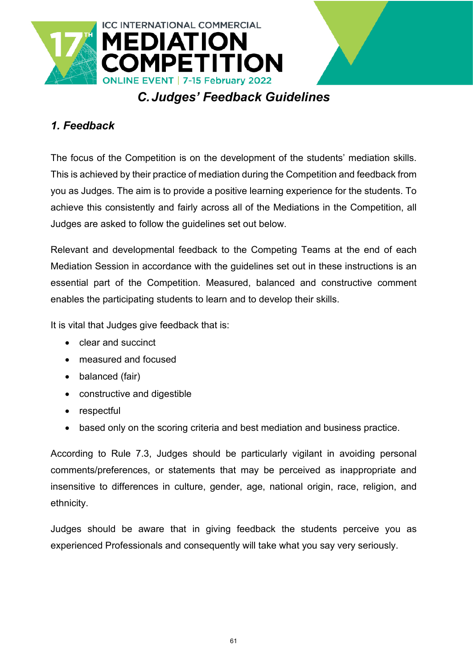![](_page_60_Picture_0.jpeg)

# *C.Judges' Feedback Guidelines*

# <span id="page-60-0"></span>*1. Feedback*

The focus of the Competition is on the development of the students' mediation skills. This is achieved by their practice of mediation during the Competition and feedback from you as Judges. The aim is to provide a positive learning experience for the students. To achieve this consistently and fairly across all of the Mediations in the Competition, all Judges are asked to follow the guidelines set out below.

Relevant and developmental feedback to the Competing Teams at the end of each Mediation Session in accordance with the guidelines set out in these instructions is an essential part of the Competition. Measured, balanced and constructive comment enables the participating students to learn and to develop their skills.

It is vital that Judges give feedback that is:

- clear and succinct
- measured and focused
- balanced (fair)
- constructive and digestible
- respectful
- based only on the scoring criteria and best mediation and business practice.

According to Rule 7.3, Judges should be particularly vigilant in avoiding personal comments/preferences, or statements that may be perceived as inappropriate and insensitive to differences in culture, gender, age, national origin, race, religion, and ethnicity.

Judges should be aware that in giving feedback the students perceive you as experienced Professionals and consequently will take what you say very seriously.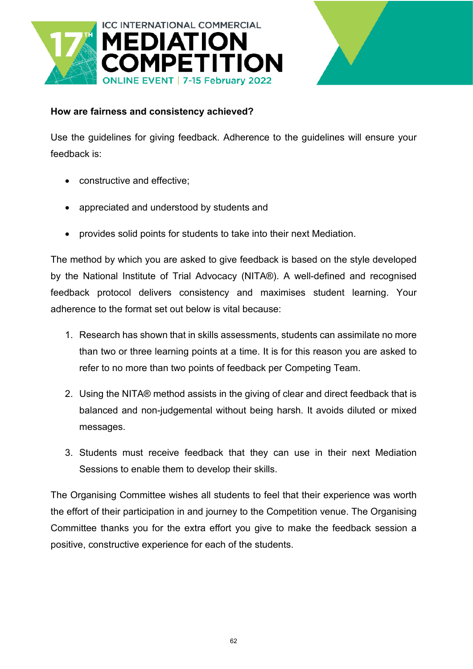![](_page_61_Picture_0.jpeg)

![](_page_61_Picture_1.jpeg)

#### **How are fairness and consistency achieved?**

Use the guidelines for giving feedback. Adherence to the guidelines will ensure your feedback is:

- constructive and effective;
- appreciated and understood by students and
- provides solid points for students to take into their next Mediation.

The method by which you are asked to give feedback is based on the style developed by the National Institute of Trial Advocacy (NITA®). A well-defined and recognised feedback protocol delivers consistency and maximises student learning. Your adherence to the format set out below is vital because:

- 1. Research has shown that in skills assessments, students can assimilate no more than two or three learning points at a time. It is for this reason you are asked to refer to no more than two points of feedback per Competing Team.
- 2. Using the NITA® method assists in the giving of clear and direct feedback that is balanced and non-judgemental without being harsh. It avoids diluted or mixed messages.
- 3. Students must receive feedback that they can use in their next Mediation Sessions to enable them to develop their skills.

The Organising Committee wishes all students to feel that their experience was worth the effort of their participation in and journey to the Competition venue. The Organising Committee thanks you for the extra effort you give to make the feedback session a positive, constructive experience for each of the students.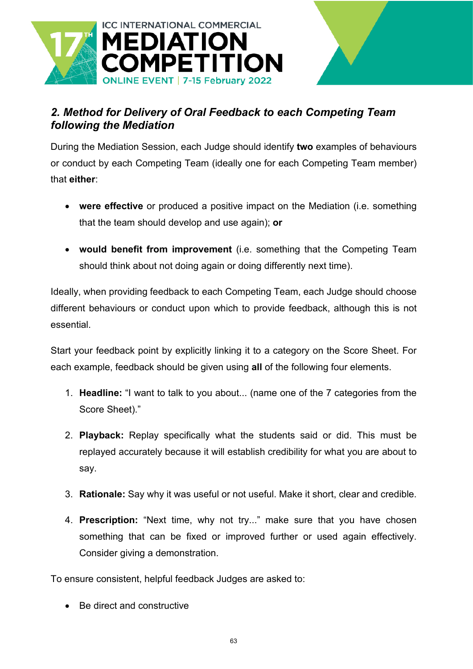![](_page_62_Picture_0.jpeg)

# *2. Method for Delivery of Oral Feedback to each Competing Team following the Mediation*

During the Mediation Session, each Judge should identify **two** examples of behaviours or conduct by each Competing Team (ideally one for each Competing Team member) that **either**:

- **were effective** or produced a positive impact on the Mediation (i.e. something that the team should develop and use again); **or**
- **would benefit from improvement** (i.e. something that the Competing Team should think about not doing again or doing differently next time).

Ideally, when providing feedback to each Competing Team, each Judge should choose different behaviours or conduct upon which to provide feedback, although this is not essential.

Start your feedback point by explicitly linking it to a category on the Score Sheet. For each example, feedback should be given using **all** of the following four elements.

- 1. **Headline:** "I want to talk to you about... (name one of the 7 categories from the Score Sheet)."
- 2. **Playback:** Replay specifically what the students said or did. This must be replayed accurately because it will establish credibility for what you are about to say.
- 3. **Rationale:** Say why it was useful or not useful. Make it short, clear and credible.
- 4. **Prescription:** "Next time, why not try..." make sure that you have chosen something that can be fixed or improved further or used again effectively. Consider giving a demonstration.

To ensure consistent, helpful feedback Judges are asked to:

• Be direct and constructive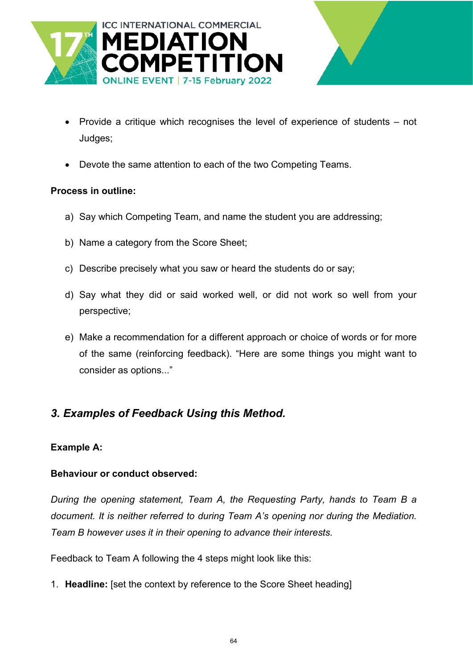![](_page_63_Picture_0.jpeg)

![](_page_63_Picture_1.jpeg)

- Provide a critique which recognises the level of experience of students not Judges;
- Devote the same attention to each of the two Competing Teams.

#### **Process in outline:**

- a) Say which Competing Team, and name the student you are addressing;
- b) Name a category from the Score Sheet;
- c) Describe precisely what you saw or heard the students do or say;
- d) Say what they did or said worked well, or did not work so well from your perspective;
- e) Make a recommendation for a different approach or choice of words or for more of the same (reinforcing feedback). "Here are some things you might want to consider as options..."

### *3. Examples of Feedback Using this Method.*

#### **Example A:**

#### **Behaviour or conduct observed:**

*During the opening statement, Team A, the Requesting Party, hands to Team B a document. It is neither referred to during Team A's opening nor during the Mediation. Team B however uses it in their opening to advance their interests.* 

Feedback to Team A following the 4 steps might look like this:

1. **Headline:** [set the context by reference to the Score Sheet heading]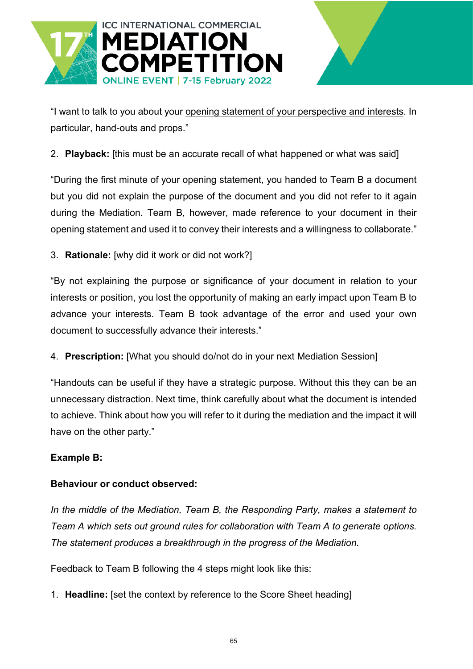![](_page_64_Picture_0.jpeg)

"I want to talk to you about your opening statement of your perspective and interests. In particular, hand-outs and props."

2. **Playback:** [this must be an accurate recall of what happened or what was said]

"During the first minute of your opening statement, you handed to Team B a document but you did not explain the purpose of the document and you did not refer to it again during the Mediation. Team B, however, made reference to your document in their opening statement and used it to convey their interests and a willingness to collaborate."

3. **Rationale:** [why did it work or did not work?]

"By not explaining the purpose or significance of your document in relation to your interests or position, you lost the opportunity of making an early impact upon Team B to advance your interests. Team B took advantage of the error and used your own document to successfully advance their interests."

4. **Prescription:** [What you should do/not do in your next Mediation Session]

"Handouts can be useful if they have a strategic purpose. Without this they can be an unnecessary distraction. Next time, think carefully about what the document is intended to achieve. Think about how you will refer to it during the mediation and the impact it will have on the other party."

#### **Example B:**

#### **Behaviour or conduct observed:**

*In the middle of the Mediation, Team B, the Responding Party, makes a statement to Team A which sets out ground rules for collaboration with Team A to generate options. The statement produces a breakthrough in the progress of the Mediation.* 

Feedback to Team B following the 4 steps might look like this:

1. **Headline:** [set the context by reference to the Score Sheet heading]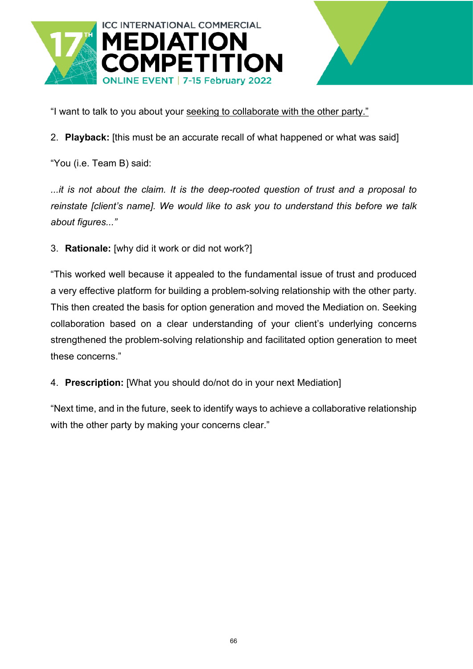![](_page_65_Picture_0.jpeg)

"I want to talk to you about your seeking to collaborate with the other party."

2. **Playback:** [this must be an accurate recall of what happened or what was said]

"You (i.e. Team B) said:

*...it is not about the claim. It is the deep-rooted question of trust and a proposal to reinstate [client's name]. We would like to ask you to understand this before we talk about figures..."*

3. **Rationale:** [why did it work or did not work?]

"This worked well because it appealed to the fundamental issue of trust and produced a very effective platform for building a problem-solving relationship with the other party. This then created the basis for option generation and moved the Mediation on. Seeking collaboration based on a clear understanding of your client's underlying concerns strengthened the problem-solving relationship and facilitated option generation to meet these concerns."

4. **Prescription:** [What you should do/not do in your next Mediation]

"Next time, and in the future, seek to identify ways to achieve a collaborative relationship with the other party by making your concerns clear."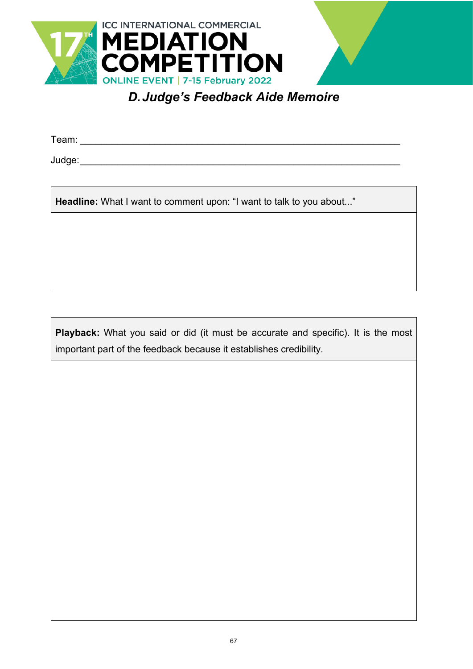![](_page_66_Picture_0.jpeg)

*D.Judge's Feedback Aide Memoire*

<span id="page-66-0"></span>Team: \_\_\_\_\_\_\_\_\_\_\_\_\_\_\_\_\_\_\_\_\_\_\_\_\_\_\_\_\_\_\_\_\_\_\_\_\_\_\_\_\_\_\_\_\_\_\_\_\_\_\_\_\_\_\_\_\_\_\_\_

Judge:\_\_\_\_\_\_\_\_\_\_\_\_\_\_\_\_\_\_\_\_\_\_\_\_\_\_\_\_\_\_\_\_\_\_\_\_\_\_\_\_\_\_\_\_\_\_\_\_\_\_\_\_\_\_\_\_\_\_\_\_

**Headline:** What I want to comment upon: "I want to talk to you about..."

**Playback:** What you said or did (it must be accurate and specific). It is the most important part of the feedback because it establishes credibility.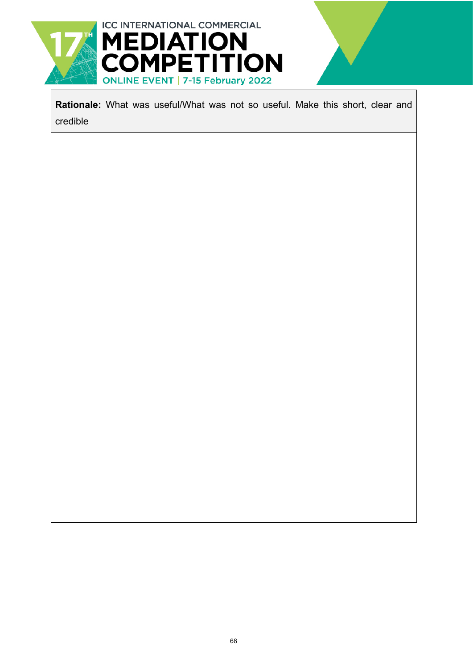![](_page_67_Picture_0.jpeg)

**Rationale:** What was useful/What was not so useful. Make this short, clear and credible